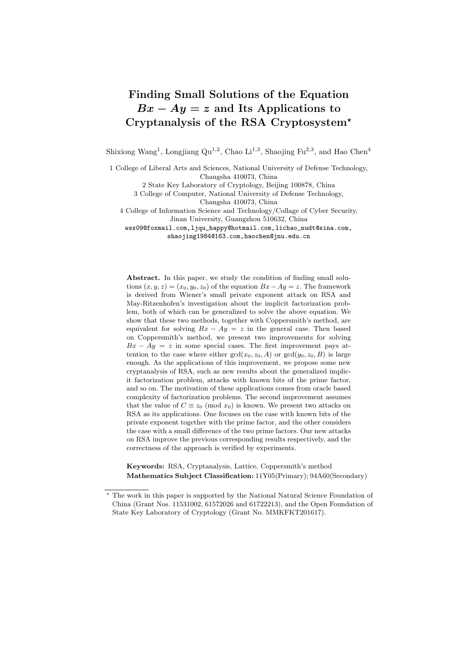# Finding Small Solutions of the Equation  $Bx - Ay = z$  and Its Applications to Cryptanalysis of the RSA Cryptosystem?

Shixiong Wang<sup>1</sup>, Longjiang Qu<sup>1,2</sup>, Chao Li<sup>1,3</sup>, Shaojing Fu<sup>2,3</sup>, and Hao Chen<sup>4</sup>

1 College of Liberal Arts and Sciences, National University of Defense Technology, Changsha 410073, China

2 State Key Laboratory of Cryptology, Beijing 100878, China

3 College of Computer, National University of Defense Technology, Changsha 410073, China

4 College of Information Science and Technology/Collage of Cyber Security, Jinan University, Guangzhou 510632, China

wsx09@foxmail.com,ljqu\_happy@hotmail.com,lichao\_nudt@sina.com, shaojing1984@163.com,haochen@jnu.edu.cn

Abstract. In this paper, we study the condition of finding small solutions  $(x, y, z) = (x_0, y_0, z_0)$  of the equation  $Bx - Ay = z$ . The framework is derived from Wiener's small private exponent attack on RSA and May-Ritzenhofen's investigation about the implicit factorization problem, both of which can be generalized to solve the above equation. We show that these two methods, together with Coppersmith's method, are equivalent for solving  $Bx - Ay = z$  in the general case. Then based on Coppersmith's method, we present two improvements for solving  $Bx - Ay = z$  in some special cases. The first improvement pays attention to the case where either  $gcd(x_0, z_0, A)$  or  $gcd(y_0, z_0, B)$  is large enough. As the applications of this improvement, we propose some new cryptanalysis of RSA, such as new results about the generalized implicit factorization problem, attacks with known bits of the prime factor, and so on. The motivation of these applications comes from oracle based complexity of factorization problems. The second improvement assumes that the value of  $C \equiv z_0 \pmod{x_0}$  is known. We present two attacks on RSA as its applications. One focuses on the case with known bits of the private exponent together with the prime factor, and the other considers the case with a small difference of the two prime factors. Our new attacks on RSA improve the previous corresponding results respectively, and the correctness of the approach is verified by experiments.

Keywords: RSA, Cryptanalysis, Lattice, Coppersmith's method Mathematics Subject Classification: 11Y05(Primary); 94A60(Secondary)

<sup>?</sup> The work in this paper is supported by the National Natural Science Foundation of China (Grant Nos. 11531002, 61572026 and 61722213), and the Open Foundation of State Key Laboratory of Cryptology (Grant No. MMKFKT201617).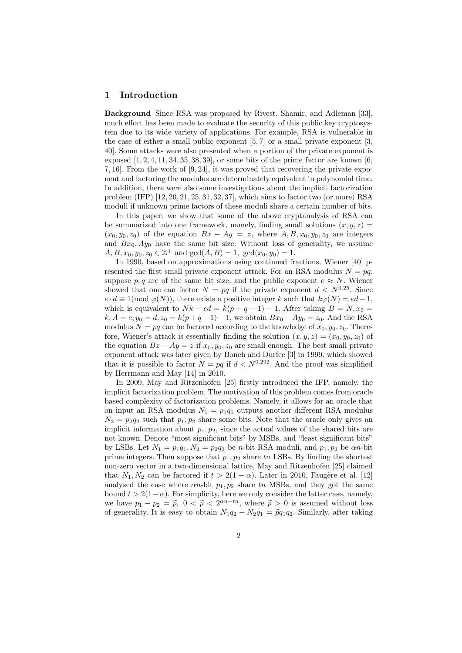## 1 Introduction

Background Since RSA was proposed by Rivest, Shamir, and Adleman [33], much effort has been made to evaluate the security of this public key cryptosystem due to its wide variety of applications. For example, RSA is vulnerable in the case of either a small public exponent  $[5, 7]$  or a small private exponent  $[3, 7]$ 40]. Some attacks were also presented when a portion of the private exponent is exposed  $[1, 2, 4, 11, 34, 35, 38, 39]$ , or some bits of the prime factor are known  $[6, 6, 12]$ 7, 16]. From the work of [9, 24], it was proved that recovering the private exponent and factoring the modulus are determinately equivalent in polynomial time. In addition, there were also some investigations about the implicit factorization problem (IFP) [12, 20, 21, 25, 31, 32, 37], which aims to factor two (or more) RSA moduli if unknown prime factors of these moduli share a certain number of bits.

In this paper, we show that some of the above cryptanalysis of RSA can be summarized into one framework, namely, finding small solutions  $(x, y, z)$  =  $(x_0, y_0, z_0)$  of the equation  $Bx - Ay = z$ , where  $A, B, x_0, y_0, z_0$  are integers and  $Bx_0$ ,  $Ay_0$  have the same bit size. Without loss of generality, we assume  $A, B, x_0, y_0, z_0 \in \mathbb{Z}^+$  and  $gcd(A, B) = 1$ ,  $gcd(x_0, y_0) = 1$ .

In 1990, based on approximations using continued fractions, Wiener [40] presented the first small private exponent attack. For an RSA modulus  $N = pq$ , suppose p, q are of the same bit size, and the public exponent  $e \approx N$ . Wiener showed that one can factor  $N = pq$  if the private exponent  $d < N^{0.25}$ . Since  $e \cdot d \equiv 1 \pmod{\varphi(N)}$ , there exists a positive integer k such that  $k\varphi(N) = ed - 1$ , which is equivalent to  $Nk - ed = k(p+q-1) - 1$ . After taking  $B = N, x_0 =$  $k, A = e, y_0 = d, z_0 = k(p + q - 1) - 1$ , we obtain  $Bx_0 - Ay_0 = z_0$ . And the RSA modulus  $N = pq$  can be factored according to the knowledge of  $x_0, y_0, z_0$ . Therefore, Wiener's attack is essentially finding the solution  $(x, y, z) = (x_0, y_0, z_0)$  of the equation  $Bx - Ay = z$  if  $x_0, y_0, z_0$  are small enough. The best small private exponent attack was later given by Boneh and Durfee [3] in 1999, which showed that it is possible to factor  $N = pq$  if  $d < N^{0.292}$ . And the proof was simplified by Herrmann and May [14] in 2010.

In 2009, May and Ritzenhofen [25] firstly introduced the IFP, namely, the implicit factorization problem. The motivation of this problem comes from oracle based complexity of factorization problems. Namely, it allows for an oracle that on input an RSA modulus  $N_1 = p_1q_1$  outputs another different RSA modulus  $N_2 = p_2 q_2$  such that  $p_1, p_2$  share some bits. Note that the oracle only gives an implicit information about  $p_1, p_2$ , since the actual values of the shared bits are not known. Denote "most significant bits" by MSBs, and "least significant bits" by LSBs. Let  $N_1 = p_1q_1, N_2 = p_2q_2$  be n-bit RSA moduli, and  $p_1, p_2$  be an-bit prime integers. Then suppose that  $p_1, p_2$  share tn LSBs. By finding the shortest non-zero vector in a two-dimensional lattice, May and Ritzenhofen [25] claimed that  $N_1, N_2$  can be factored if  $t > 2(1 - \alpha)$ . Later in 2010, Faugère et al. [12] analyzed the case where  $\alpha n$ -bit  $p_1, p_2$  share tn MSBs, and they got the same bound  $t > 2(1-\alpha)$ . For simplicity, here we only consider the latter case, namely, we have  $p_1 - p_2 = \tilde{p}$ ,  $0 < \tilde{p} < 2^{\alpha n - tn}$ , where  $\tilde{p} > 0$  is assumed without loss of gonerality. It is easy to obtain  $N_{\alpha} q_{\alpha} - N_{\alpha} q_{\alpha} = \tilde{q} q_{\alpha} q_{\alpha}$ . Similarly, after taking of generality. It is easy to obtain  $N_1q_2 - N_2q_1 = \tilde{p}q_1q_2$ . Similarly, after taking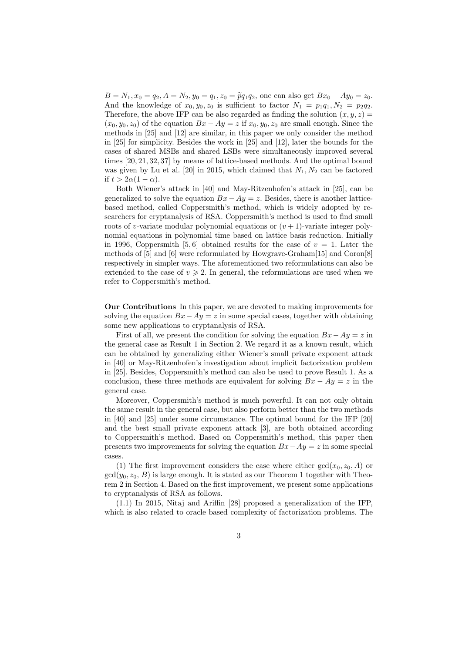$B = N_1, x_0 = q_2, A = N_2, y_0 = q_1, z_0 = \tilde{p}q_1q_2$ , one can also get  $Bx_0 - Ay_0 = z_0$ . And the knowledge of  $x_0, y_0, z_0$  is sufficient to factor  $N_1 = p_1q_1, N_2 = p_2q_2$ . Therefore, the above IFP can be also regarded as finding the solution  $(x, y, z) =$  $(x_0, y_0, z_0)$  of the equation  $Bx - Ay = z$  if  $x_0, y_0, z_0$  are small enough. Since the methods in [25] and [12] are similar, in this paper we only consider the method in [25] for simplicity. Besides the work in [25] and [12], later the bounds for the cases of shared MSBs and shared LSBs were simultaneously improved several times [20, 21, 32, 37] by means of lattice-based methods. And the optimal bound was given by Lu et al. [20] in 2015, which claimed that  $N_1, N_2$  can be factored if  $t > 2\alpha(1-\alpha)$ .

Both Wiener's attack in [40] and May-Ritzenhofen's attack in [25], can be generalized to solve the equation  $Bx - Ay = z$ . Besides, there is another latticebased method, called Coppersmith's method, which is widely adopted by researchers for cryptanalysis of RSA. Coppersmith's method is used to find small roots of v-variate modular polynomial equations or  $(v + 1)$ -variate integer polynomial equations in polynomial time based on lattice basis reduction. Initially in 1996, Coppersmith [5, 6] obtained results for the case of  $v = 1$ . Later the methods of [5] and [6] were reformulated by Howgrave-Graham[15] and Coron[8] respectively in simpler ways. The aforementioned two reformulations can also be extended to the case of  $v \ge 2$ . In general, the reformulations are used when we refer to Coppersmith's method.

Our Contributions In this paper, we are devoted to making improvements for solving the equation  $Bx-Ay=z$  in some special cases, together with obtaining some new applications to cryptanalysis of RSA.

First of all, we present the condition for solving the equation  $Bx-Ay = z$  in the general case as Result 1 in Section 2. We regard it as a known result, which can be obtained by generalizing either Wiener's small private exponent attack in [40] or May-Ritzenhofen's investigation about implicit factorization problem in [25]. Besides, Coppersmith's method can also be used to prove Result 1. As a conclusion, these three methods are equivalent for solving  $Bx - Ay = z$  in the general case.

Moreover, Coppersmith's method is much powerful. It can not only obtain the same result in the general case, but also perform better than the two methods in [40] and [25] under some circumstance. The optimal bound for the IFP [20] and the best small private exponent attack [3], are both obtained according to Coppersmith's method. Based on Coppersmith's method, this paper then presents two improvements for solving the equation  $Bx-Ay = z$  in some special cases.

(1) The first improvement considers the case where either  $gcd(x_0, z_0, A)$  or  $gcd(y_0, z_0, B)$  is large enough. It is stated as our Theorem 1 together with Theorem 2 in Section 4. Based on the first improvement, we present some applications to cryptanalysis of RSA as follows.

(1.1) In 2015, Nitaj and Ariffin [28] proposed a generalization of the IFP, which is also related to oracle based complexity of factorization problems. The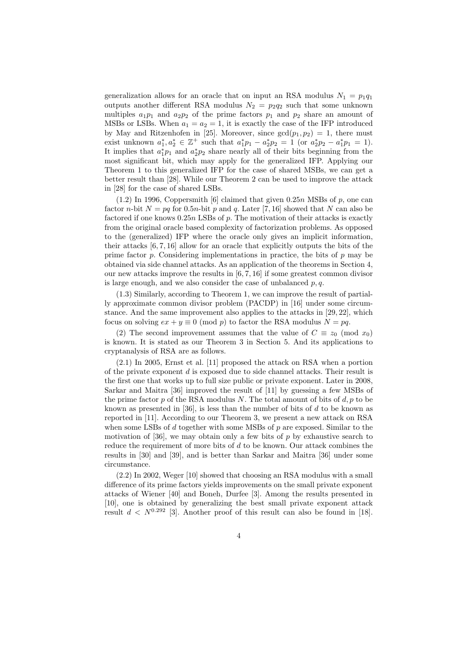generalization allows for an oracle that on input an RSA modulus  $N_1 = p_1q_1$ outputs another different RSA modulus  $N_2 = p_2 q_2$  such that some unknown multiples  $a_1p_1$  and  $a_2p_2$  of the prime factors  $p_1$  and  $p_2$  share an amount of MSBs or LSBs. When  $a_1 = a_2 = 1$ , it is exactly the case of the IFP introduced by May and Ritzenhofen in [25]. Moreover, since  $gcd(p_1, p_2) = 1$ , there must exist unknown  $a_1^*, a_2^* \in \mathbb{Z}^+$  such that  $a_1^* p_1 - a_2^* p_2 = 1$  (or  $a_2^* p_2 - a_1^* p_1 = 1$ ). It implies that  $a_1^*p_1$  and  $a_2^*p_2$  share nearly all of their bits beginning from the most significant bit, which may apply for the generalized IFP. Applying our Theorem 1 to this generalized IFP for the case of shared MSBs, we can get a better result than [28]. While our Theorem 2 can be used to improve the attack in [28] for the case of shared LSBs.

 $(1.2)$  In 1996, Coppersmith [6] claimed that given 0.25n MSBs of p, one can factor n-bit  $N = pa$  for 0.5n-bit p and q. Later [7, 16] showed that N can also be factored if one knows  $0.25n$  LSBs of p. The motivation of their attacks is exactly from the original oracle based complexity of factorization problems. As opposed to the (generalized) IFP where the oracle only gives an implicit information, their attacks [6, 7, 16] allow for an oracle that explicitly outputs the bits of the prime factor  $p$ . Considering implementations in practice, the bits of  $p$  may be obtained via side channel attacks. As an application of the theorems in Section 4, our new attacks improve the results in  $[6, 7, 16]$  if some greatest common divisor is large enough, and we also consider the case of unbalanced  $p, q$ .

(1.3) Similarly, according to Theorem 1, we can improve the result of partially approximate common divisor problem (PACDP) in [16] under some circumstance. And the same improvement also applies to the attacks in [29, 22], which focus on solving  $ex + y \equiv 0 \pmod{p}$  to factor the RSA modulus  $N = pq$ .

(2) The second improvement assumes that the value of  $C \equiv z_0 \pmod{x_0}$ is known. It is stated as our Theorem 3 in Section 5. And its applications to cryptanalysis of RSA are as follows.

(2.1) In 2005, Ernst et al. [11] proposed the attack on RSA when a portion of the private exponent d is exposed due to side channel attacks. Their result is the first one that works up to full size public or private exponent. Later in 2008, Sarkar and Maitra [36] improved the result of [11] by guessing a few MSBs of the prime factor  $p$  of the RSA modulus N. The total amount of bits of  $d, p$  to be known as presented in [36], is less than the number of bits of  $d$  to be known as reported in [11]. According to our Theorem 3, we present a new attack on RSA when some LSBs of  $d$  together with some MSBs of  $p$  are exposed. Similar to the motivation of [36], we may obtain only a few bits of  $p$  by exhaustive search to reduce the requirement of more bits of  $d$  to be known. Our attack combines the results in [30] and [39], and is better than Sarkar and Maitra [36] under some circumstance.

(2.2) In 2002, Weger [10] showed that choosing an RSA modulus with a small difference of its prime factors yields improvements on the small private exponent attacks of Wiener [40] and Boneh, Durfee [3]. Among the results presented in [10], one is obtained by generalizing the best small private exponent attack result  $d < N^{0.292}$  [3]. Another proof of this result can also be found in [18].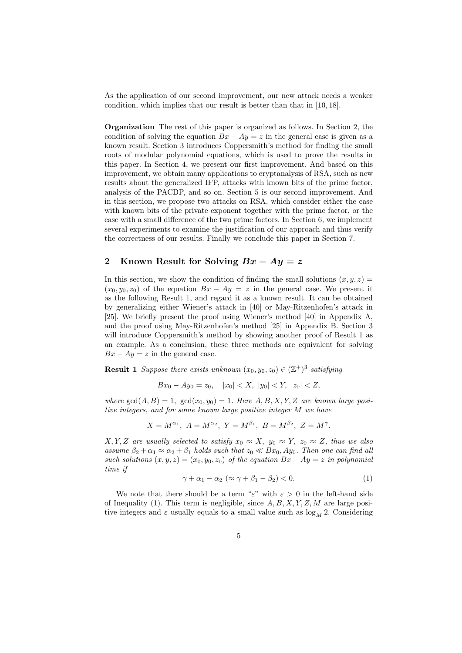As the application of our second improvement, our new attack needs a weaker condition, which implies that our result is better than that in [10, 18].

Organization The rest of this paper is organized as follows. In Section 2, the condition of solving the equation  $Bx - Ay = z$  in the general case is given as a known result. Section 3 introduces Coppersmith's method for finding the small roots of modular polynomial equations, which is used to prove the results in this paper. In Section 4, we present our first improvement. And based on this improvement, we obtain many applications to cryptanalysis of RSA, such as new results about the generalized IFP, attacks with known bits of the prime factor, analysis of the PACDP, and so on. Section 5 is our second improvement. And in this section, we propose two attacks on RSA, which consider either the case with known bits of the private exponent together with the prime factor, or the case with a small difference of the two prime factors. In Section 6, we implement several experiments to examine the justification of our approach and thus verify the correctness of our results. Finally we conclude this paper in Section 7.

# 2 Known Result for Solving  $Bx - Ay = z$

In this section, we show the condition of finding the small solutions  $(x, y, z) =$  $(x_0, y_0, z_0)$  of the equation  $Bx - Ay = z$  in the general case. We present it as the following Result 1, and regard it as a known result. It can be obtained by generalizing either Wiener's attack in [40] or May-Ritzenhofen's attack in [25]. We briefly present the proof using Wiener's method [40] in Appendix A, and the proof using May-Ritzenhofen's method [25] in Appendix B. Section 3 will introduce Coppersmith's method by showing another proof of Result 1 as an example. As a conclusion, these three methods are equivalent for solving  $Bx - Ay = z$  in the general case.

**Result 1** Suppose there exists unknown  $(x_0, y_0, z_0) \in (\mathbb{Z}^+)^3$  satisfying

 $Bx_0 - Ay_0 = z_0$ ,  $|x_0| < X$ ,  $|y_0| < Y$ ,  $|z_0| < Z$ ,

where  $gcd(A, B) = 1$ ,  $gcd(x_0, y_0) = 1$ . Here  $A, B, X, Y, Z$  are known large positive integers, and for some known large positive integer M we have

$$
X = M^{\alpha_1}, A = M^{\alpha_2}, Y = M^{\beta_1}, B = M^{\beta_2}, Z = M^{\gamma}.
$$

 $X, Y, Z$  are usually selected to satisfy  $x_0 \approx X$ ,  $y_0 \approx Y$ ,  $z_0 \approx Z$ , thus we also assume  $\beta_2 + \alpha_1 \approx \alpha_2 + \beta_1$  holds such that  $z_0 \ll Bx_0$ ,  $Ay_0$ . Then one can find all such solutions  $(x, y, z) = (x_0, y_0, z_0)$  of the equation  $Bx - Ay = z$  in polynomial time if

$$
\gamma + \alpha_1 - \alpha_2 \ (\approx \gamma + \beta_1 - \beta_2) < 0. \tag{1}
$$

We note that there should be a term "ε" with  $\varepsilon > 0$  in the left-hand side of Inequality (1). This term is negligible, since  $A, B, X, Y, Z, M$  are large positive integers and  $\varepsilon$  usually equals to a small value such as  $\log_M 2$ . Considering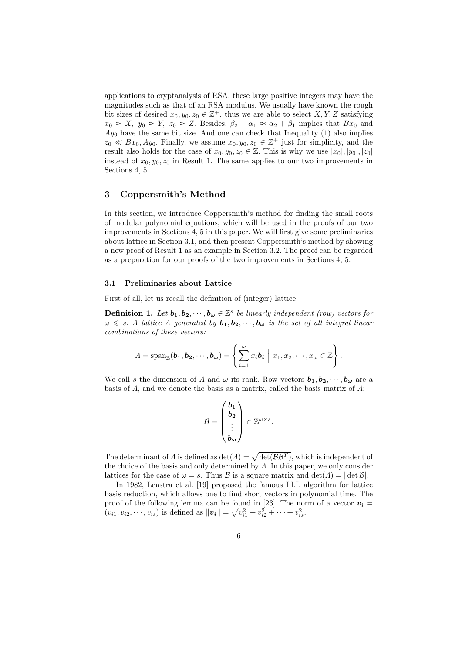applications to cryptanalysis of RSA, these large positive integers may have the magnitudes such as that of an RSA modulus. We usually have known the rough bit sizes of desired  $x_0, y_0, z_0 \in \mathbb{Z}^+$ , thus we are able to select  $X, Y, Z$  satisfying  $x_0 \approx X$ ,  $y_0 \approx Y$ ,  $z_0 \approx Z$ . Besides,  $\beta_2 + \alpha_1 \approx \alpha_2 + \beta_1$  implies that  $Bx_0$  and  $Ay_0$  have the same bit size. And one can check that Inequality  $(1)$  also implies  $z_0 \ll Bx_0, Ay_0$ . Finally, we assume  $x_0, y_0, z_0 \in \mathbb{Z}^+$  just for simplicity, and the result also holds for the case of  $x_0, y_0, z_0 \in \mathbb{Z}$ . This is why we use  $|x_0|, |y_0|, |z_0|$ instead of  $x_0, y_0, z_0$  in Result 1. The same applies to our two improvements in Sections 4, 5.

## 3 Coppersmith's Method

In this section, we introduce Coppersmith's method for finding the small roots of modular polynomial equations, which will be used in the proofs of our two improvements in Sections 4, 5 in this paper. We will first give some preliminaries about lattice in Section 3.1, and then present Coppersmith's method by showing a new proof of Result 1 as an example in Section 3.2. The proof can be regarded as a preparation for our proofs of the two improvements in Sections 4, 5.

#### 3.1 Preliminaries about Lattice

First of all, let us recall the definition of (integer) lattice.

**Definition 1.** Let  $b_1, b_2, \dots, b_{\omega} \in \mathbb{Z}^s$  be linearly independent (row) vectors for  $\omega \leq s$ . A lattice A generated by  $\mathbf{b}_1, \mathbf{b}_2, \dots, \mathbf{b}_{\omega}$  is the set of all integral linear combinations of these vectors:

$$
\Lambda = \mathrm{span}_{\mathbb{Z}}(\boldsymbol{b}_1, \boldsymbol{b}_2, \cdots, \boldsymbol{b}_{\omega}) = \left\{ \sum_{i=1}^{\omega} x_i \boldsymbol{b}_i \middle| x_1, x_2, \cdots, x_{\omega} \in \mathbb{Z} \right\}.
$$

We call s the dimension of A and  $\omega$  its rank. Row vectors  $b_1, b_2, \dots, b_{\omega}$  are a basis of  $\Lambda$ , and we denote the basis as a matrix, called the basis matrix of  $\Lambda$ :

$$
\mathcal{B} = \begin{pmatrix} \mathbf{b_1} \\ \mathbf{b_2} \\ \vdots \\ \mathbf{b_{\omega}} \end{pmatrix} \in \mathbb{Z}^{\omega \times s}.
$$

The determinant of  $\Lambda$  is defined as  $\det(\Lambda) = \sqrt{\det(\mathcal{B}\mathcal{B}^T)}$ , which is independent of the choice of the basis and only determined by  $\Lambda$ . In this paper, we only consider lattices for the case of  $\omega = s$ . Thus B is a square matrix and  $\det(A) = |\det B|$ .

In 1982, Lenstra et al. [19] proposed the famous LLL algorithm for lattice basis reduction, which allows one to find short vectors in polynomial time. The proof of the following lemma can be found in [23]. The norm of a vector  $v_i =$  $(v_{i1}, v_{i2}, \dots, v_{is})$  is defined as  $||v_i|| = \sqrt{v_{i1}^2 + v_{i2}^2 + \dots + v_{is}^2}$ .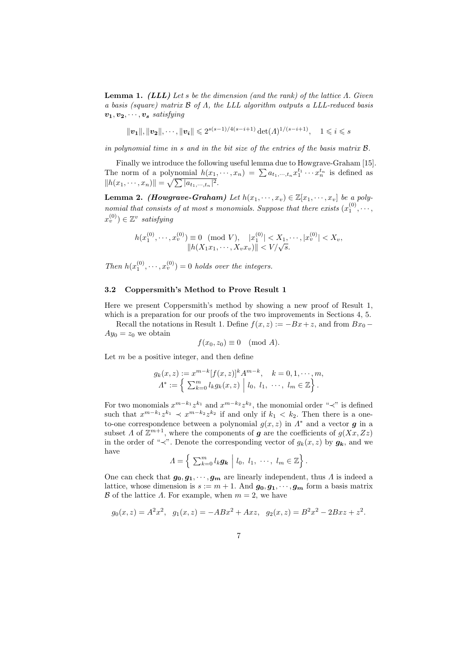**Lemma 1.** (LLL) Let s be the dimension (and the rank) of the lattice  $\Lambda$ . Given a basis (square) matrix B of Λ, the LLL algorithm outputs a LLL-reduced basis  $v_1, v_2, \cdots, v_s$  satisfying

 $||\mathbf{v_1}||, ||\mathbf{v_2}||, \cdots, ||\mathbf{v_i}|| \leqslant 2^{s(s-1)/4(s-i+1)} \det(\Lambda)^{1/(s-i+1)}, \quad 1 \leqslant i \leqslant s$ 

in polynomial time in s and in the bit size of the entries of the basis matrix B.

Finally we introduce the following useful lemma due to Howgrave-Graham [15]. The norm of a polynomial  $h(x_1, \dots, x_n) = \sum a_{t_1, \dots, t_n} x_1^{t_1} \dots x_n^{t_n}$  is defined as  $||h(x_1, \dots, x_n)|| = \sqrt{\sum |a_{t_1, \dots, t_n}|^2}.$ 

**Lemma 2.** (Howgrave-Graham) Let  $h(x_1, \dots, x_v) \in \mathbb{Z}[x_1, \dots, x_v]$  be a polynomial that consists of at most s monomials. Suppose that there exists  $(x_1^{(0)}, \cdots,$  $x_v^{(0)}) \in \mathbb{Z}^v$  satisfying

$$
h(x_1^{(0)}, \dots, x_v^{(0)}) \equiv 0 \pmod{V}, \quad |x_1^{(0)}| < X_1, \dots, |x_v^{(0)}| < X_v, \\
||h(X_1 x_1, \dots, X_v x_v)|| < V/\sqrt{s}.
$$

Then  $h(x_1^{(0)}, \dots, x_v^{(0)}) = 0$  holds over the integers.

#### 3.2 Coppersmith's Method to Prove Result 1

Here we present Coppersmith's method by showing a new proof of Result 1, which is a preparation for our proofs of the two improvements in Sections 4, 5.

Recall the notations in Result 1. Define  $f(x, z) := -Bx + z$ , and from  $Bx_0 Ay_0 = z_0$  we obtain

$$
f(x_0, z_0) \equiv 0 \pmod{A}.
$$

Let  $m$  be a positive integer, and then define

$$
g_k(x, z) := x^{m-k} [f(x, z)]^k A^{m-k}, \quad k = 0, 1, \dots, m, \n\Lambda^* := \left\{ \sum_{k=0}^m l_k g_k(x, z) \middle| l_0, l_1, \dots, l_m \in \mathbb{Z} \right\}.
$$

For two monomials  $x^{m-k_1}z^{k_1}$  and  $x^{m-k_2}z^{k_2}$ , the monomial order "≺" is defined such that  $x^{m-k_1}z^{k_1} \prec x^{m-k_2}z^{k_2}$  if and only if  $k_1 < k_2$ . Then there is a oneto-one correspondence between a polynomial  $g(x, z)$  in  $\Lambda^*$  and a vector **g** in a subset  $\Lambda$  of  $\mathbb{Z}^{m+1}$ , where the components of g are the coefficients of  $g(Xx, Zz)$ in the order of "≺". Denote the corresponding vector of  $g_k(x, z)$  by  $g_k$ , and we have

$$
\Lambda = \left\{ \left. \sum_{k=0}^m l_k \mathbf{g_k} \right| l_0, l_1, \cdots, l_m \in \mathbb{Z} \right\}.
$$

One can check that  $g_0, g_1, \dots, g_m$  are linearly independent, thus  $\Lambda$  is indeed a lattice, whose dimension is  $s := m + 1$ . And  $g_0, g_1, \dots, g_m$  form a basis matrix B of the lattice  $\Lambda$ . For example, when  $m = 2$ , we have

$$
g_0(x, z) = A^2 x^2
$$
,  $g_1(x, z) = -ABx^2 + Axz$ ,  $g_2(x, z) = B^2 x^2 - 2Bxz + z^2$ .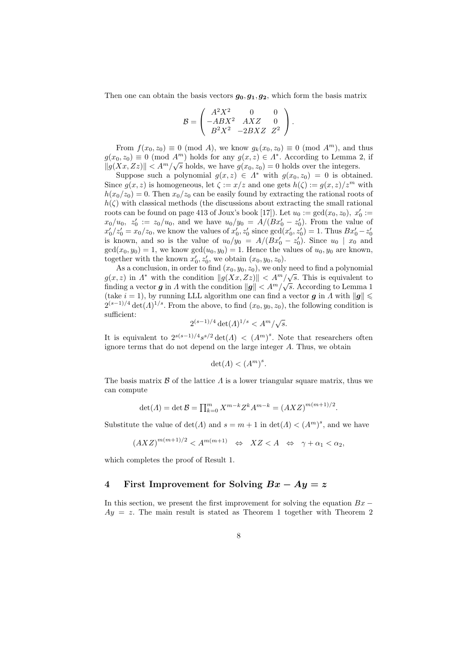Then one can obtain the basis vectors  $g_0, g_1, g_2$ , which form the basis matrix

$$
\mathcal{B} = \begin{pmatrix} A^2 X^2 & 0 & 0 \\ -ABX^2 & AXZ & 0 \\ B^2 X^2 & -2BXZ & Z^2 \end{pmatrix}.
$$

From  $f(x_0, z_0) \equiv 0 \pmod{A}$ , we know  $g_k(x_0, z_0) \equiv 0 \pmod{A^m}$ , and thus  $g(x_0, z_0) \equiv 0 \pmod{A^m}$  holds for any  $g(x, z) \in A^*$ . According to Lemma 2, if  $||g(Xx, Zz)|| < A<sup>m</sup>/\sqrt{s}$  holds, we have  $g(x_0, z_0) = 0$  holds over the integers.

Suppose such a polynomial  $g(x, z) \in \Lambda^*$  with  $g(x_0, z_0) = 0$  is obtained. Since  $g(x, z)$  is homogeneous, let  $\zeta := x/z$  and one gets  $h(\zeta) := g(x, z)/z^m$  with  $h(x_0/z_0) = 0$ . Then  $x_0/z_0$  can be easily found by extracting the rational roots of  $h(\zeta)$  with classical methods (the discussions about extracting the small rational roots can be found on page 413 of Joux's book [17]). Let  $u_0 := \gcd(x_0, z_0)$ ,  $x'_0 :=$  $x_0/u_0, z'_0 := z_0/u_0$ , and we have  $u_0/y_0 = A/(Bx'_0 - z'_0)$ . From the value of  $x'_0/z'_0 = x_0/z_0$ , we know the values of  $x'_0, z'_0$  since  $gcd(x'_0, z'_0) = 1$ . Thus  $Bx'_0 - z'_0$ is known, and so is the value of  $u_0/y_0 = A/(Bx'_0 - z'_0)$ . Since  $u_0 | x_0$  and  $gcd(x_0, y_0) = 1$ , we know  $gcd(u_0, y_0) = 1$ . Hence the values of  $u_0, y_0$  are known, together with the known  $x'_0, z'_0$ , we obtain  $(x_0, y_0, z_0)$ .

As a conclusion, in order to find  $(x_0, y_0, z_0)$ , we only need to find a polynomial  $g(x, z)$  in  $\Lambda^*$  with the condition  $||g(Xx, Zz)|| < A^m/\sqrt{s}$ . This is equivalent to finding a vector g in A with the condition  $||g|| < A<sup>m</sup>/\sqrt{s}$ . According to Lemma 1 (take  $i = 1$ ), by running LLL algorithm one can find a vector g in  $\Lambda$  with  $\|g\| \leq$  $2^{(s-1)/4} \det(\Lambda)^{1/s}$ . From the above, to find  $(x_0, y_0, z_0)$ , the following condition is sufficient: √

$$
2^{(s-1)/4} \det(\Lambda)^{1/s} < A^m/\sqrt{s}.
$$

It is equivalent to  $2^{s(s-1)/4}s^{s/2}\det(A) < (A<sup>m</sup>)<sup>s</sup>$ . Note that researchers often ignore terms that do not depend on the large integer A. Thus, we obtain

$$
\det(A) < (A^m)^s.
$$

The basis matrix  $\beta$  of the lattice  $\Lambda$  is a lower triangular square matrix, thus we can compute

$$
\det(A) = \det \mathcal{B} = \prod_{k=0}^{m} X^{m-k} Z^k A^{m-k} = (AXZ)^{m(m+1)/2}.
$$

Substitute the value of  $\det(A)$  and  $s = m + 1$  in  $\det(A) < (A<sup>m</sup>)<sup>s</sup>$ , and we have

$$
(AXZ)^{m(m+1)/2} < A^{m(m+1)} \quad \Leftrightarrow \quad XZ < A \quad \Leftrightarrow \quad \gamma + \alpha_1 < \alpha_2,
$$

which completes the proof of Result 1.

## 4 First Improvement for Solving  $Bx - Ay = z$

In this section, we present the first improvement for solving the equation  $Bx$  −  $Ay = z$ . The main result is stated as Theorem 1 together with Theorem 2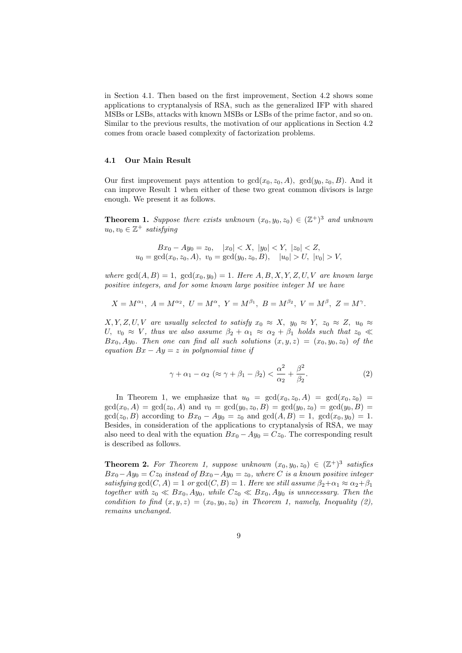in Section 4.1. Then based on the first improvement, Section 4.2 shows some applications to cryptanalysis of RSA, such as the generalized IFP with shared MSBs or LSBs, attacks with known MSBs or LSBs of the prime factor, and so on. Similar to the previous results, the motivation of our applications in Section 4.2 comes from oracle based complexity of factorization problems.

#### 4.1 Our Main Result

Our first improvement pays attention to  $gcd(x_0, z_0, A)$ ,  $gcd(y_0, z_0, B)$ . And it can improve Result 1 when either of these two great common divisors is large enough. We present it as follows.

**Theorem 1.** Suppose there exists unknown  $(x_0, y_0, z_0) \in (\mathbb{Z}^+)^3$  and unknown  $u_0, v_0 \in \mathbb{Z}^+$  satisfying

$$
Bx_0 - Ay_0 = z_0, \quad |x_0| < X, \ |y_0| < Y, \ |z_0| < Z, \quad u_0 = \gcd(x_0, z_0, A), \quad v_0 = \gcd(y_0, z_0, B), \quad |u_0| > U, \ |v_0| > V,
$$

where  $gcd(A, B) = 1$ ,  $gcd(x_0, y_0) = 1$ . Here  $A, B, X, Y, Z, U, V$  are known large positive integers, and for some known large positive integer M we have

$$
X = M^{\alpha_1}, A = M^{\alpha_2}, U = M^{\alpha}, Y = M^{\beta_1}, B = M^{\beta_2}, V = M^{\beta}, Z = M^{\gamma}.
$$

 $X, Y, Z, U, V$  are usually selected to satisfy  $x_0 \approx X$ ,  $y_0 \approx Y$ ,  $z_0 \approx Z$ ,  $u_0 \approx$ U,  $v_0 \approx V$ , thus we also assume  $\beta_2 + \alpha_1 \approx \alpha_2 + \beta_1$  holds such that  $z_0 \ll$  $Bx_0, Ay_0$ . Then one can find all such solutions  $(x, y, z) = (x_0, y_0, z_0)$  of the equation  $Bx - Ay = z$  in polynomial time if

$$
\gamma + \alpha_1 - \alpha_2 \ (\approx \gamma + \beta_1 - \beta_2) < \frac{\alpha^2}{\alpha_2} + \frac{\beta^2}{\beta_2}.\tag{2}
$$

In Theorem 1, we emphasize that  $u_0 = \gcd(x_0, z_0, A) = \gcd(x_0, z_0)$  $gcd(x_0, A) = gcd(z_0, A)$  and  $v_0 = gcd(y_0, z_0, B) = gcd(y_0, z_0) = gcd(y_0, B)$  $gcd(z_0, B)$  according to  $Bx_0 - Ay_0 = z_0$  and  $gcd(A, B) = 1$ ,  $gcd(x_0, y_0) = 1$ . Besides, in consideration of the applications to cryptanalysis of RSA, we may also need to deal with the equation  $Bx_0 - Ay_0 = Cz_0$ . The corresponding result is described as follows.

**Theorem 2.** For Theorem 1, suppose unknown  $(x_0, y_0, z_0) \in (\mathbb{Z}^+)^3$  satisfies  $Bx_0-Ay_0=Cz_0$  instead of  $Bx_0-Ay_0=z_0$ , where C is a known positive integer satisfying gcd(C, A) = 1 or gcd(C, B) = 1. Here we still assume  $\beta_2 + \alpha_1 \approx \alpha_2 + \beta_1$ together with  $z_0 \ll Bx_0$ ,  $Ay_0$ , while  $Cz_0 \ll Bx_0$ ,  $Ay_0$  is unnecessary. Then the condition to find  $(x, y, z) = (x_0, y_0, z_0)$  in Theorem 1, namely, Inequality (2), remains unchanged.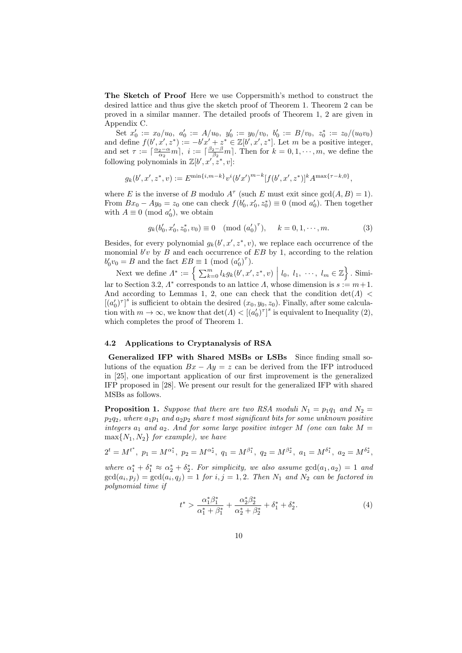The Sketch of Proof Here we use Coppersmith's method to construct the desired lattice and thus give the sketch proof of Theorem 1. Theorem 2 can be proved in a similar manner. The detailed proofs of Theorem 1, 2 are given in Appendix C.

Set  $x'_0 := x_0/u_0$ ,  $a'_0 := A/u_0$ ,  $y'_0 := y_0/v_0$ ,  $b'_0 := B/v_0$ ,  $z_0^* := z_0/(u_0v_0)$ and define  $f(b', x', z^*) := -b'x' + z^* \in \mathbb{Z}[b', x', z^*]$ . Let m be a positive integer, and set  $\tau := \lceil \frac{\alpha_2 - \alpha}{\alpha_2} m \rceil$ ,  $i := \lceil \frac{\beta_2 - \beta}{\beta_2} m \rceil$ . Then for  $k = 0, 1, \dots, m$ , we define the following polynomials in  $\mathbb{Z}[b', x', z^*, v]$ :

$$
g_k(b', x', z^*, v) := E^{\min\{i, m-k\}} v^i (b' x')^{m-k} [f(b', x', z^*)]^k A^{\max\{\tau - k, 0\}},
$$

where E is the inverse of B modulo  $A^{\tau}$  (such E must exit since  $gcd(A, B) = 1$ ). From  $Bx_0 - Ay_0 = z_0$  one can check  $f(b'_0, x'_0, z_0^*) \equiv 0 \pmod{a'_0}$ . Then together with  $A \equiv 0 \pmod{a_0'}$ , we obtain

$$
g_k(b'_0, x'_0, z_0^*, v_0) \equiv 0 \pmod{(a'_0)}^{\tau}, \quad k = 0, 1, \cdots, m.
$$
 (3)

Besides, for every polynomial  $g_k(b', x', z^*, v)$ , we replace each occurrence of the monomial  $b'v$  by B and each occurrence of EB by 1, according to the relation  $b'_0 v_0 = B$  and the fact  $EB \equiv 1 \pmod{(a'_0)^{\tau}}$ .

Next we define  $\Lambda^* := \left\{ \sum_{k=0}^m l_k g_k(b', x', z^*, v) \middle| l_0, l_1, \dots, l_m \in \mathbb{Z} \right\}$ . Similar to Section 3.2,  $\Lambda^*$  corresponds to an lattice  $\Lambda$ , whose dimension is  $s := m+1$ . And according to Lemmas 1, 2, one can check that the condition  $det(\Lambda)$  $[(a'_0)^{\tau}]^s$  is sufficient to obtain the desired  $(x_0, y_0, z_0)$ . Finally, after some calculation with  $m \to \infty$ , we know that  $\det(A) < [({a'_0})^{\tau}]^s$  is equivalent to Inequality (2), which completes the proof of Theorem 1.

#### 4.2 Applications to Cryptanalysis of RSA

Generalized IFP with Shared MSBs or LSBs Since finding small solutions of the equation  $Bx - Ay = z$  can be derived from the IFP introduced in [25], one important application of our first improvement is the generalized IFP proposed in [28]. We present our result for the generalized IFP with shared MSBs as follows.

**Proposition 1.** Suppose that there are two RSA moduli  $N_1 = p_1q_1$  and  $N_2 =$  $p_2q_2$ , where  $a_1p_1$  and  $a_2p_2$  share t most significant bits for some unknown positive integers  $a_1$  and  $a_2$ . And for some large positive integer M (one can take  $M =$  $\max\{N_1, N_2\}$  for example), we have

$$
2^t = M^{t^*}, \ p_1 = M^{\alpha_1^*}, \ p_2 = M^{\alpha_2^*}, \ q_1 = M^{\beta_1^*}, \ q_2 = M^{\beta_2^*}, \ a_1 = M^{\delta_1^*}, \ a_2 = M^{\delta_2^*},
$$

where  $\alpha_1^* + \delta_1^* \approx \alpha_2^* + \delta_2^*$ . For simplicity, we also assume  $gcd(a_1, a_2) = 1$  and  $gcd(a_i, p_j) = gcd(a_i, q_j) = 1$  for  $i, j = 1, 2$ . Then  $N_1$  and  $N_2$  can be factored in polynomial time if

$$
t^* > \frac{\alpha_1^* \beta_1^*}{\alpha_1^* + \beta_1^*} + \frac{\alpha_2^* \beta_2^*}{\alpha_2^* + \beta_2^*} + \delta_1^* + \delta_2^*.
$$
 (4)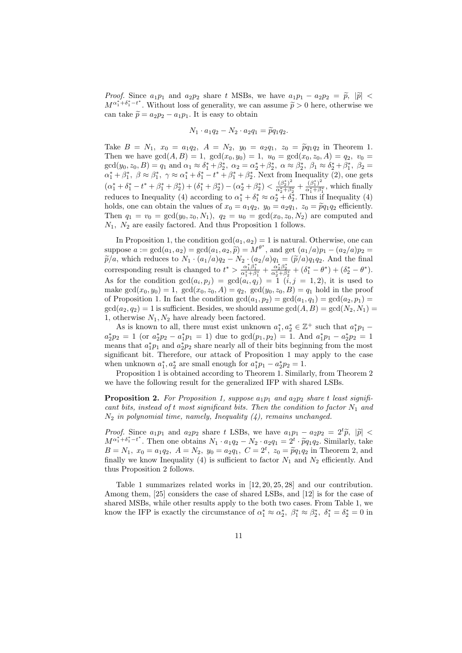*Proof.* Since  $a_1p_1$  and  $a_2p_2$  share t MSBs, we have  $a_1p_1 - a_2p_2 = \tilde{p}$ ,  $|\tilde{p}|$  <  $M^{\alpha_1^*+\delta_1^*-\iota^*}$ . Without loss of generality, we can assume  $\tilde{p} > 0$  here, otherwise we can take  $\tilde{p} = a_2 p_2 - a_1 p_1$ . It is easy to obtain

$$
N_1 \cdot a_1 q_2 - N_2 \cdot a_2 q_1 = \widetilde{p} q_1 q_2.
$$

Take  $B = N_1$ ,  $x_0 = a_1q_2$ ,  $A = N_2$ ,  $y_0 = a_2q_1$ ,  $z_0 = \tilde{p}q_1q_2$  in Theorem 1. Then we have  $gcd(A, B) = 1$ ,  $gcd(x_0, y_0) = 1$ ,  $u_0 = gcd(x_0, z_0, A) = q_2$ ,  $v_0 =$  $gcd(y_0, z_0, B) = q_1 \text{ and } \alpha_1 \approx \delta_1^* + \beta_2^*, \ \alpha_2 = \alpha_2^* + \beta_2^*, \ \alpha \approx \beta_2^*, \ \beta_1 \approx \delta_2^* + \beta_1^*, \ \beta_2 =$  $\alpha_1^* + \beta_1^*, \ \beta \approx \beta_1^*, \ \gamma \approx \alpha_1^* + \delta_1^* - t^* + \beta_1^* + \beta_2^*.$  Next from Inequality (2), one gets  $(\alpha_1^* + \delta_1^* - t^* + \beta_1^* + \beta_2^*) + (\delta_1^* + \beta_2^*) - (\alpha_2^* + \beta_2^*) < \frac{(\beta_2^*)^2}{\alpha_2^* + \beta_2^*}$  $\frac{(\beta_2^*)^2}{\alpha_2^*+\beta_2^*}+\frac{(\beta_1^*)^2}{\alpha_1^*+\beta_2^*}$ reduces to Inequality (4) according to  $\alpha_1^* + \delta_1^* \approx \alpha_2^* + \delta_2^*$ . Thus if Inequality (4)  $\frac{(\rho_1)}{\alpha_1^*+\beta_1^*}$ , which finally holds, one can obtain the values of  $x_0 = a_1q_2$ ,  $y_0 = a_2q_1$ ,  $z_0 = \tilde{p}q_1q_2$  efficiently. Then  $q_1 = v_0 = \gcd(y_0, z_0, N_1), q_2 = u_0 = \gcd(x_0, z_0, N_2)$  are computed and  $N_1$ ,  $N_2$  are easily factored. And thus Proposition 1 follows.

In Proposition 1, the condition  $gcd(a_1, a_2) = 1$  is natural. Otherwise, one can suppose  $a := \gcd(a_1, a_2) = \gcd(a_1, a_2, \tilde{p}) = M^{\theta^*}$ , and get  $(a_1/a)p_1 - (a_2/a)p_2 = \tilde{p}(a_1, a_2)p_1$  $\widetilde{p}/a$ , which reduces to  $N_1 \cdot (a_1/a)q_2 - N_2 \cdot (a_2/a)q_1 = (\widetilde{p}/a)q_1q_2$ . And the final corresponding result is changed to  $t^* > \frac{\alpha_1^* \beta_1^*}{\alpha_1^* + \beta_1^*} + \frac{\alpha_2^* \beta_2^*}{\alpha_2^* + \beta_2^*} + (\delta_1^* - \theta^*) + (\delta_2^* - \theta^*)$ . As for the condition  $gcd(a_i, p_j) = gcd(a_i, q_j) = 1$   $(i, j = 1, 2)$ , it is used to make  $gcd(x_0, y_0) = 1$ ,  $gcd(x_0, z_0, A) = q_2$ ,  $gcd(y_0, z_0, B) = q_1$  hold in the proof of Proposition 1. In fact the condition  $gcd(a_1, p_2) = gcd(a_1, q_1) = gcd(a_2, p_1) =$  $gcd(a_2, q_2) = 1$  is sufficient. Besides, we should assume  $gcd(A, B) = gcd(N_2, N_1)$ 1, otherwise  $N_1, N_2$  have already been factored.

As is known to all, there must exist unknown  $a_1^*, a_2^* \in \mathbb{Z}^+$  such that  $a_1^* p_1$  –  $a_2^* p_2 = 1$  (or  $a_2^* p_2 - a_1^* p_1 = 1$ ) due to  $gcd(p_1, p_2) = 1$ . And  $a_1^* p_1 - a_2^* p_2 = 1$ means that  $a_1^*p_1$  and  $a_2^*p_2$  share nearly all of their bits beginning from the most significant bit. Therefore, our attack of Proposition 1 may apply to the case when unknown  $a_1^*, a_2^*$  are small enough for  $a_1^*p_1 - a_2^*p_2 = 1$ .

Proposition 1 is obtained according to Theorem 1. Similarly, from Theorem 2 we have the following result for the generalized IFP with shared LSBs.

**Proposition 2.** For Proposition 1, suppose  $a_1p_1$  and  $a_2p_2$  share t least significant bits, instead of t most significant bits. Then the condition to factor  $N_1$  and  $N_2$  in polynomial time, namely, Inequality  $(4)$ , remains unchanged.

*Proof.* Since  $a_1p_1$  and  $a_2p_2$  share t LSBs, we have  $a_1p_1 - a_2p_2 = 2^t\tilde{p}$ ,  $|\tilde{p}|$  <  $M^{\alpha_1^*+\delta_1^*-\iota^*}$ . Then one obtains  $N_1 \cdot a_1q_2 - N_2 \cdot a_2q_1 = 2^{\iota} \cdot \widetilde{p}q_1q_2$ . Similarly, take  $B = N_1$ ,  $x_0 = a_1q_2$ ,  $A = N_2$ ,  $y_0 = a_2q_1$ ,  $C = 2^t$ ,  $z_0 = \widetilde{p}q_1q_2$  in Theorem 2, and<br>finally we know Inequality (4) is sufficient to factor  $N_c$  and  $N_c$  efficiently. And finally we know Inequality (4) is sufficient to factor  $N_1$  and  $N_2$  efficiently. And thus Proposition 2 follows.

Table 1 summarizes related works in [12, 20, 25, 28] and our contribution. Among them, [25] considers the case of shared LSBs, and [12] is for the case of shared MSBs, while other results apply to the both two cases. From Table 1, we know the IFP is exactly the circumstance of  $\alpha_1^* \approx \alpha_2^*, \ \beta_1^* \approx \beta_2^*, \ \delta_1^* = \delta_2^* = 0$  in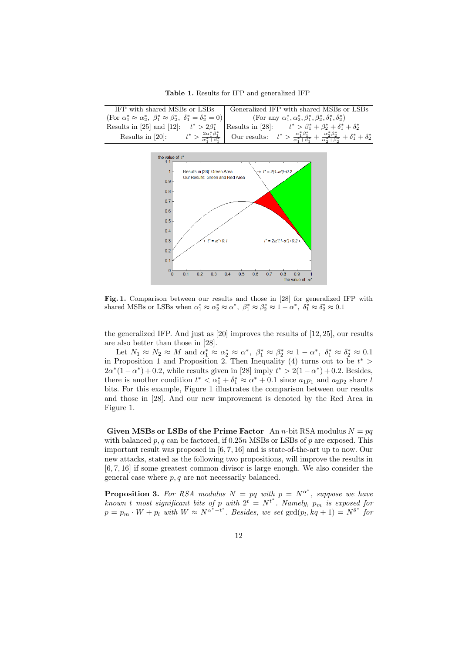Table 1. Results for IFP and generalized IFP

| IFP with shared MSBs or LSBs                                                                                | Generalized IFP with shared MSBs or LSBs                                                                                                                 |
|-------------------------------------------------------------------------------------------------------------|----------------------------------------------------------------------------------------------------------------------------------------------------------|
| $(\text{For } \alpha_1^* \approx \alpha_2^*, \ \beta_1^* \approx \beta_2^*, \ \delta_1^* = \delta_2^* = 0)$ | (For any $\alpha_1^*, \alpha_2^*, \beta_1^*, \beta_2^*, \delta_1^*, \delta_2^*$ )                                                                        |
|                                                                                                             | Results in [25] and [12]: $t^* > 2\beta_1^*$ Results in [28]: $t^* > \beta_1^* + \beta_2^* + \delta_1^* + \delta_2^*$                                    |
| $t^* > \frac{2\alpha_1^*\beta_1^*}{\alpha_1^*+\beta_1^*}$<br>Results in $[20]$ :                            | Our results: $t^* > \frac{\alpha_1^* \beta_1^*}{\alpha_1^* + \beta_1^*} + \frac{\alpha_2^* \beta_2^*}{\alpha_2^* + \beta_2^*} + \delta_1^* + \delta_2^*$ |



Fig. 1. Comparison between our results and those in [28] for generalized IFP with shared MSBs or LSBs when  $\alpha_1^* \approx \alpha_2^* \approx \alpha^*$ ,  $\beta_1^* \approx \beta_2^* \approx 1 - \alpha^*$ ,  $\delta_1^* \approx \delta_2^* \approx 0.1$ 

the generalized IFP. And just as [20] improves the results of [12, 25], our results are also better than those in [28].

Let  $N_1 \approx N_2 \approx M$  and  $\alpha_1^* \approx \alpha_2^* \approx \alpha^*$ ,  $\beta_1^* \approx \beta_2^* \approx 1 - \alpha^*$ ,  $\delta_1^* \approx \delta_2^* \approx 0.1$ in Proposition 1 and Proposition 2. Then Inequality (4) turns out to be  $t^*$  $2\alpha^*(1-\alpha^*)+0.2$ , while results given in [28] imply  $t^* > 2(1-\alpha^*)+0.2$ . Besides, there is another condition  $t^* < \alpha_1^* + \delta_1^* \approx \alpha^* + 0.1$  since  $a_1p_1$  and  $a_2p_2$  share t bits. For this example, Figure 1 illustrates the comparison between our results and those in [28]. And our new improvement is denoted by the Red Area in Figure 1.

Given MSBs or LSBs of the Prime Factor An n-bit RSA modulus  $N = pq$ with balanced p, q can be factored, if  $0.25n$  MSBs or LSBs of p are exposed. This important result was proposed in [6, 7, 16] and is state-of-the-art up to now. Our new attacks, stated as the following two propositions, will improve the results in [6, 7, 16] if some greatest common divisor is large enough. We also consider the general case where  $p, q$  are not necessarily balanced.

**Proposition 3.** For RSA modulus  $N = pq$  with  $p = N^{\alpha^*}$ , suppose we have known t most significant bits of p with  $2^t = N^{t^*}$ . Namely,  $p_m$  is exposed for  $p = p_m \cdot W + p_l$  with  $W \approx N^{\alpha^* - t^*}$ . Besides, we set  $gcd(p_l, kq + 1) = N^{\theta^*}$  for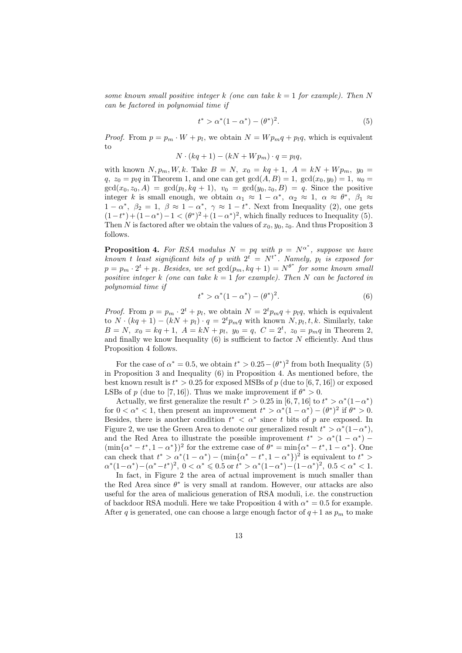some known small positive integer k (one can take  $k = 1$  for example). Then N can be factored in polynomial time if

$$
t^* > \alpha^*(1 - \alpha^*) - (\theta^*)^2.
$$
 (5)

*Proof.* From  $p = p_m \cdot W + p_l$ , we obtain  $N = W p_m q + p_l q$ , which is equivalent to

$$
N \cdot (kq + 1) - (kN + Wp_m) \cdot q = p_l q,
$$

with known  $N, p_m, W, k$ . Take  $B = N$ ,  $x_0 = kq + 1$ ,  $A = kN + W p_m$ ,  $y_0 =$  $q, z_0 = p_l q$  in Theorem 1, and one can get  $gcd(A, B) = 1$ ,  $gcd(x_0, y_0) = 1$ ,  $u_0 =$  $gcd(x_0, z_0, A) = gcd(p_l, kq + 1), v_0 = gcd(y_0, z_0, B) = q.$  Since the positive integer k is small enough, we obtain  $\alpha_1 \approx 1 - \alpha^*$ ,  $\alpha_2 \approx 1$ ,  $\alpha \approx \theta^*$ ,  $\beta_1 \approx$  $1-\alpha^*, \ \beta_2=1, \ \beta \approx 1-\alpha^*, \ \gamma \approx 1-t^*.$  Next from Inequality (2), one gets  $(1-t^*) + (1-\alpha^*) - 1 < (\theta^*)^2 + (1-\alpha^*)^2$ , which finally reduces to Inequality (5). Then N is factored after we obtain the values of  $x_0, y_0, z_0$ . And thus Proposition 3 follows.

**Proposition 4.** For RSA modulus  $N = pq$  with  $p = N^{\alpha^*}$ , suppose we have known t least significant bits of p with  $2^t = N^{t^*}$ . Namely,  $p_l$  is exposed for  $p = p_m \cdot 2^t + p_l$ . Besides, we set  $gcd(p_m, kq + 1) = N^{\theta^*}$  for some known small positive integer k (one can take  $k = 1$  for example). Then N can be factored in polynomial time if

$$
t^* > \alpha^*(1 - \alpha^*) - (\theta^*)^2.
$$
 (6)

*Proof.* From  $p = p_m \cdot 2^t + p_l$ , we obtain  $N = 2^t p_m q + p_l q$ , which is equivalent to  $N \cdot (kq + 1) - (kN + p_l) \cdot q = 2^t p_m q$  with known  $N, p_l, t, k$ . Similarly, take  $B = N$ ,  $x_0 = kq + 1$ ,  $A = kN + p_l$ ,  $y_0 = q$ ,  $C = 2^t$ ,  $z_0 = p_m q$  in Theorem 2, and finally we know Inequality  $(6)$  is sufficient to factor N efficiently. And thus Proposition 4 follows.

For the case of  $\alpha^* = 0.5$ , we obtain  $t^* > 0.25 - (\theta^*)^2$  from both Inequality (5) in Proposition 3 and Inequality (6) in Proposition 4. As mentioned before, the best known result is  $t^* > 0.25$  for exposed MSBs of p (due to [6, 7, 16]) or exposed LSBs of p (due to [7, 16]). Thus we make improvement if  $\theta^* > 0$ .

Actually, we first generalize the result  $t^* > 0.25$  in [6, 7, 16] to  $t^* > \alpha^*(1-\alpha^*)$ for  $0 < \alpha^* < 1$ , then present an improvement  $t^* > \alpha^*(1 - \alpha^*) - (\theta^*)^2$  if  $\theta^* > 0$ . Besides, there is another condition  $t^* < \alpha^*$  since t bits of p are exposed. In Figure 2, we use the Green Area to denote our generalized result  $t^* > \alpha^*(1-\alpha^*)$ , and the Red Area to illustrate the possible improvement  $t^* > \alpha^*(1 - \alpha^*)$  $(\min{\{\alpha^* - t^*, 1 - \alpha^*\}})^2$  for the extreme case of  $\theta^* = \min{\{\alpha^* - t^*, 1 - \alpha^*\}}$ . One can check that  $t^* > \alpha^*(1 - \alpha^*) - (\min{\{\alpha^* - t^*, 1 - \alpha^*\}})^2$  is equivalent to  $t^* >$  $\alpha^*(1-\alpha^*)-(\alpha^*-t^*)^2$ ,  $0 < \alpha^* \leq 0.5$  or  $t^* > \alpha^*(1-\alpha^*)-(1-\alpha^*)^2$ ,  $0.5 < \alpha^* < 1$ .

In fact, in Figure 2 the area of actual improvement is much smaller than the Red Area since  $\theta^*$  is very small at random. However, our attacks are also useful for the area of malicious generation of RSA moduli, i.e. the construction of backdoor RSA moduli. Here we take Proposition 4 with  $\alpha^* = 0.5$  for example. After q is generated, one can choose a large enough factor of  $q+1$  as  $p_m$  to make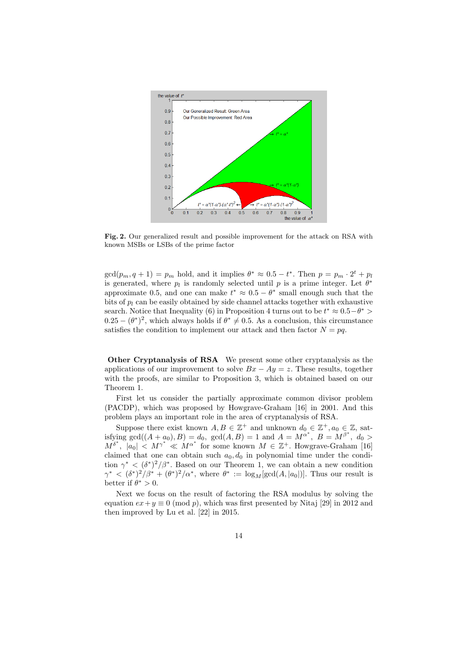

Fig. 2. Our generalized result and possible improvement for the attack on RSA with known MSBs or LSBs of the prime factor

 $gcd(p_m, q+1) = p_m$  hold, and it implies  $\theta^* \approx 0.5 - t^*$ . Then  $p = p_m \cdot 2^t + p_l$ is generated, where  $p_l$  is randomly selected until p is a prime integer. Let  $\theta^*$ approximate 0.5, and one can make  $t^* \approx 0.5 - \theta^*$  small enough such that the bits of  $p_l$  can be easily obtained by side channel attacks together with exhaustive search. Notice that Inequality (6) in Proposition 4 turns out to be  $t^* \approx 0.5 - \theta^*$  $(0.25 - (\theta^*)^2)$ , which always holds if  $\theta^* \neq 0.5$ . As a conclusion, this circumstance satisfies the condition to implement our attack and then factor  $N = pq$ .

Other Cryptanalysis of RSA We present some other cryptanalysis as the applications of our improvement to solve  $Bx - Ay = z$ . These results, together with the proofs, are similar to Proposition 3, which is obtained based on our Theorem 1.

First let us consider the partially approximate common divisor problem (PACDP), which was proposed by Howgrave-Graham [16] in 2001. And this problem plays an important role in the area of cryptanalysis of RSA.

Suppose there exist known  $A, B \in \mathbb{Z}^+$  and unknown  $d_0 \in \mathbb{Z}^+, a_0 \in \mathbb{Z}$ , satisfying gcd( $(A + a_0)$ ,  $B$ ) = d<sub>0</sub>, gcd( $A$ ,  $B$ ) = 1 and  $A = M^{\alpha^*}$ ,  $B = M^{\beta^*}$ ,  $d_0$  >  $M^{\delta^*}, |a_0| \leq M^{\gamma^*} \ll M^{\alpha^*}$  for some known  $M \in \mathbb{Z}^+$ . Howgrave-Graham [16] claimed that one can obtain such  $a_0, d_0$  in polynomial time under the condition  $\gamma^* < (\delta^*)^2/\beta^*$ . Based on our Theorem 1, we can obtain a new condition  $\gamma^* < (\delta^*)^2/\beta^* + (\theta^*)^2/\alpha^*$ , where  $\theta^* := \log_M[\gcd(A, |a_0|)]$ . Thus our result is better if  $\theta^* > 0$ .

Next we focus on the result of factoring the RSA modulus by solving the equation  $ex+y \equiv 0 \pmod{p}$ , which was first presented by Nitaj [29] in 2012 and then improved by Lu et al. [22] in 2015.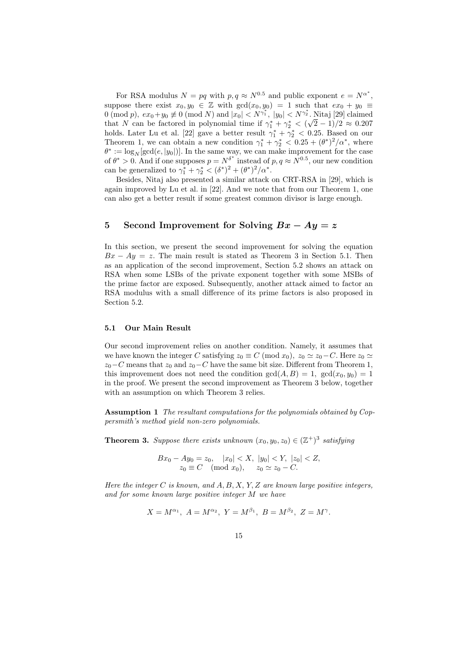For RSA modulus  $N = pq$  with  $p, q \approx N^{0.5}$  and public exponent  $e = N^{\alpha^*}$ , suppose there exist  $x_0, y_0 \in \mathbb{Z}$  with  $gcd(x_0, y_0) = 1$  such that  $ex_0 + y_0 \equiv$ 0 (mod p),  $ex_0 + y_0 \not\equiv 0 \pmod{N}$  and  $|x_0| < N^{\gamma_1^*}$ ,  $|y_0| < N^{\gamma_2^*}$ . Nitaj [29] claimed that N can be factored in polynomial time if  $\gamma_1^* + \gamma_2^* < (\sqrt{2} - 1)/2 \approx 0.207$ holds. Later Lu et al. [22] gave a better result  $\gamma_1^* + \gamma_2^* < 0.25$ . Based on our Theorem 1, we can obtain a new condition  $\gamma_1^* + \gamma_2^* < 0.25 + (\theta^*)^2/\alpha^*$ , where  $\theta^* := \log_N[\gcd(e, |y_0|)]$ . In the same way, we can make improvement for the case of  $\theta^* > 0$ . And if one supposes  $p = N^{\delta^*}$  instead of  $p, q \approx N^{0.5}$ , our new condition can be generalized to  $\gamma_1^* + \gamma_2^* < (\delta^*)^2 + (\theta^*)^2/\alpha^*$ .

Besides, Nitaj also presented a similar attack on CRT-RSA in [29], which is again improved by Lu et al. in [22]. And we note that from our Theorem 1, one can also get a better result if some greatest common divisor is large enough.

# 5 Second Improvement for Solving  $Bx - Ay = z$

In this section, we present the second improvement for solving the equation  $Bx - Ay = z$ . The main result is stated as Theorem 3 in Section 5.1. Then as an application of the second improvement, Section 5.2 shows an attack on RSA when some LSBs of the private exponent together with some MSBs of the prime factor are exposed. Subsequently, another attack aimed to factor an RSA modulus with a small difference of its prime factors is also proposed in Section 5.2.

#### 5.1 Our Main Result

Our second improvement relies on another condition. Namely, it assumes that we have known the integer C satisfying  $z_0 \equiv C \pmod{x_0}$ ,  $z_0 \simeq z_0 - C$ . Here  $z_0 \simeq$  $z_0-C$  means that  $z_0$  and  $z_0-C$  have the same bit size. Different from Theorem 1, this improvement does not need the condition  $gcd(A, B) = 1$ ,  $gcd(x_0, y_0) = 1$ in the proof. We present the second improvement as Theorem 3 below, together with an assumption on which Theorem 3 relies.

Assumption 1 The resultant computations for the polynomials obtained by Coppersmith's method yield non-zero polynomials.

**Theorem 3.** Suppose there exists unknown  $(x_0, y_0, z_0) \in (\mathbb{Z}^+)^3$  satisfying

$$
Bx_0 - Ay_0 = z_0, \quad |x_0| < X, \ |y_0| < Y, \ |z_0| < Z, \\ z_0 \equiv C \pmod{x_0}, \quad z_0 \simeq z_0 - C.
$$

Here the integer  $C$  is known, and  $A, B, X, Y, Z$  are known large positive integers, and for some known large positive integer M we have

$$
X = M^{\alpha_1}, A = M^{\alpha_2}, Y = M^{\beta_1}, B = M^{\beta_2}, Z = M^{\gamma}.
$$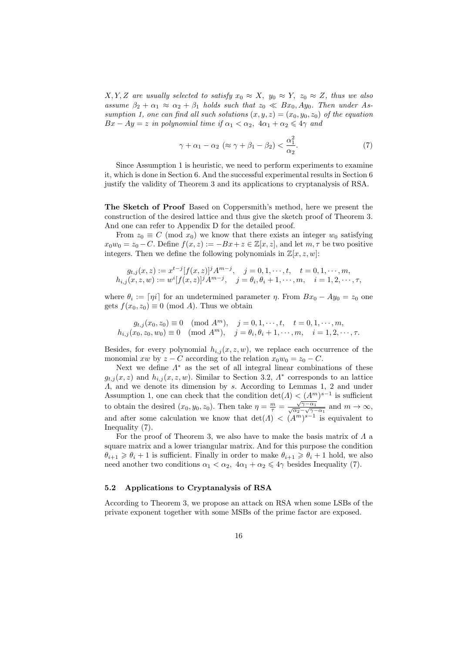$X, Y, Z$  are usually selected to satisfy  $x_0 \approx X$ ,  $y_0 \approx Y$ ,  $z_0 \approx Z$ , thus we also assume  $\beta_2 + \alpha_1 \approx \alpha_2 + \beta_1$  holds such that  $z_0 \ll Bx_0, Ay_0$ . Then under Assumption 1, one can find all such solutions  $(x, y, z) = (x_0, y_0, z_0)$  of the equation  $Bx - Ay = z$  in polynomial time if  $\alpha_1 < \alpha_2$ ,  $4\alpha_1 + \alpha_2 \leq 4\gamma$  and

$$
\gamma + \alpha_1 - \alpha_2 \ (\approx \gamma + \beta_1 - \beta_2) < \frac{\alpha_1^2}{\alpha_2}.\tag{7}
$$

Since Assumption 1 is heuristic, we need to perform experiments to examine it, which is done in Section 6. And the successful experimental results in Section 6 justify the validity of Theorem 3 and its applications to cryptanalysis of RSA.

The Sketch of Proof Based on Coppersmith's method, here we present the construction of the desired lattice and thus give the sketch proof of Theorem 3. And one can refer to Appendix D for the detailed proof.

From  $z_0 \equiv C \pmod{x_0}$  we know that there exists an integer  $w_0$  satisfying  $x_0w_0 = z_0 - C$ . Define  $f(x, z) := -Bx + z \in \mathbb{Z}[x, z]$ , and let  $m, \tau$  be two positive integers. Then we define the following polynomials in  $\mathbb{Z}[x, z, w]$ :

$$
g_{t,j}(x, z) := x^{t-j} [f(x, z)]^j A^{m-j}, \quad j = 0, 1, \dots, t, \quad t = 0, 1, \dots, m,
$$
  

$$
h_{i,j}(x, z, w) := w^i [f(x, z)]^j A^{m-j}, \quad j = \theta_i, \theta_i + 1, \dots, m, \quad i = 1, 2, \dots, \tau,
$$

where  $\theta_i := \lfloor \eta i \rfloor$  for an undetermined parameter  $\eta$ . From  $Bx_0 - Ay_0 = z_0$  one gets  $f(x_0, z_0) \equiv 0 \pmod{A}$ . Thus we obtain

$$
g_{t,j}(x_0, z_0) \equiv 0 \pmod{A^m}, \quad j = 0, 1, \dots, t, \quad t = 0, 1, \dots, m,
$$
  

$$
h_{i,j}(x_0, z_0, w_0) \equiv 0 \pmod{A^m}, \quad j = \theta_i, \theta_i + 1, \dots, m, \quad i = 1, 2, \dots, \tau.
$$

Besides, for every polynomial  $h_{i,j}(x, z, w)$ , we replace each occurrence of the monomial xw by  $z - C$  according to the relation  $x_0w_0 = z_0 - C$ .

Next we define  $\Lambda^*$  as the set of all integral linear combinations of these  $g_{t,j}(x, z)$  and  $h_{i,j}(x, z, w)$ . Similar to Section 3.2,  $\Lambda^*$  corresponds to an lattice Λ, and we denote its dimension by s. According to Lemmas 1, 2 and under Assumption 1, one can check that the condition  $\det(A) < (A<sup>m</sup>)<sup>s-1</sup>$  is sufficient to obtain the desired  $(x_0, y_0, z_0)$ . Then take  $\eta = \frac{m}{\tau} = \frac{\sqrt{2}}{\sqrt{\alpha_2}}$  $\frac{\sqrt{\gamma-\alpha_1}}{\sqrt{\alpha_1}}$  $\frac{\sqrt{\gamma-\alpha_1}}{\alpha_2-\sqrt{\gamma-\alpha_1}}$  and  $m\to\infty$ , and after some calculation we know that  $\det(A) < (A^m)^{s-1}$  is equivalent to Inequality (7).

For the proof of Theorem 3, we also have to make the basis matrix of  $\Lambda$  a square matrix and a lower triangular matrix. And for this purpose the condition  $\theta_{i+1} \geq \theta_i + 1$  is sufficient. Finally in order to make  $\theta_{i+1} \geq \theta_i + 1$  hold, we also need another two conditions  $\alpha_1 < \alpha_2$ ,  $4\alpha_1 + \alpha_2 \leq 4\gamma$  besides Inequality (7).

## 5.2 Applications to Cryptanalysis of RSA

According to Theorem 3, we propose an attack on RSA when some LSBs of the private exponent together with some MSBs of the prime factor are exposed.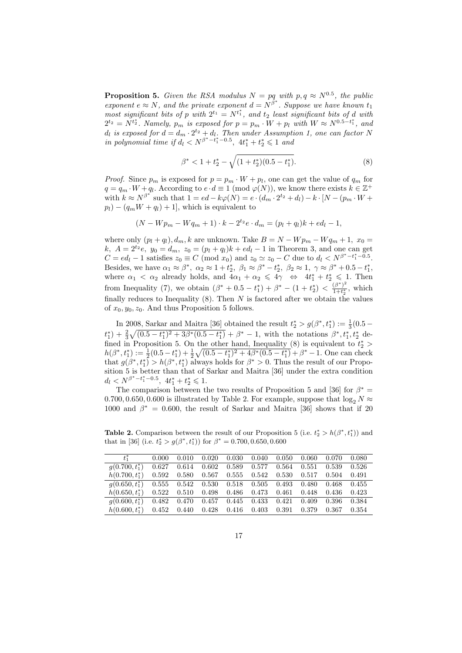**Proposition 5.** Given the RSA modulus  $N = pq$  with  $p, q \approx N^{0.5}$ , the public exponent  $e \approx N$ , and the private exponent  $d = N^{\beta^*}$ . Suppose we have known  $t_1$ most significant bits of p with  $2^{t_1} = N^{t_1^*}$ , and  $t_2$  least significant bits of d with  $2^{t_2} = N^{t_2^*}$ . Namely,  $p_m$  is exposed for  $p = p_m \cdot W + p_l$  with  $W \approx N^{0.5-t_1^*}$ , and  $d_l$  is exposed for  $d = d_m \cdot 2^{t_2} + d_l$ . Then under Assumption 1, one can factor N in polynomial time if  $d_l < N^{\beta^* - t_1^* - 0.5}$ ,  $4t_1^* + t_2^* \leq 1$  and

$$
\beta^* < 1 + t_2^* - \sqrt{(1 + t_2^*)(0.5 - t_1^*)}.\tag{8}
$$

*Proof.* Since  $p_m$  is exposed for  $p = p_m \cdot W + p_l$ , one can get the value of  $q_m$  for  $q = q_m \cdot W + q_l$ . According to  $e \cdot d \equiv 1 \pmod{\varphi(N)}$ , we know there exists  $k \in \mathbb{Z}^+$ with  $k \approx N^{\beta^*}$  such that  $1 = ed - k\varphi(N) = e \cdot (d_m \cdot 2^{t_2} + d_l) - k \cdot [N - (p_m \cdot W +$  $p_l$ ) –  $(q_m W + q_l) + 1$ , which is equivalent to

$$
(N - Wp_m - Wq_m + 1) \cdot k - 2^{t_2}e \cdot d_m = (p_l + q_l)k + ed_l - 1,
$$

where only  $(p_l + q_l)$ , k are unknown. Take  $B = N - Wp_m - Wq_m + 1$ ,  $x_0 =$ k,  $A = 2^{t_2}e$ ,  $y_0 = d_m$ ,  $z_0 = (p_l + q_l)k + ed_l - 1$  in Theorem 3, and one can get  $C = ed_l - 1$  satisfies  $z_0 \equiv C \pmod{x_0}$  and  $z_0 \simeq z_0 - C$  due to  $d_l < N^{\beta^* - t_1^* - 0.5}$ . Besides, we have  $\alpha_1 \approx \beta^*$ ,  $\alpha_2 \approx 1 + t_2^*$ ,  $\beta_1 \approx \beta^* - t_2^*$ ,  $\beta_2 \approx 1$ ,  $\gamma \approx \beta^* + 0.5 - t_1^*$ , besides, we have  $\alpha_1 \approx \beta$ ,  $\alpha_2 \approx 1 + i_2$ ,  $\beta_1 \approx \beta - i_2$ ,  $\beta_2 \approx 1$ ,  $\gamma \approx \beta + 0.5 - i_1$ ,<br>where  $\alpha_1 < \alpha_2$  already holds, and  $4\alpha_1 + \alpha_2 \leq 4\gamma \iff 4t_1^* + t_2^* \leq 1$ . Then from Inequality (7), we obtain  $(\beta^* + 0.5 - t_1^*) + \beta^* - (1 + t_2^*) < \frac{(\beta^*)^2}{1 + t_2^*}$  $\frac{(p)}{1+t_2^*}$ , which finally reduces to Inequality  $(8)$ . Then N is factored after we obtain the values of  $x_0, y_0, z_0$ . And thus Proposition 5 follows.

In 2008, Sarkar and Maitra [36] obtained the result  $t_2^* > g(\beta^*, t_1^*) := \frac{1}{3}(0.5$  $t_1^*$  +  $\frac{2}{3}\sqrt{(0.5-t_1^*)^2+3\beta^*(0.5-t_1^*)} + \beta^*$  - 1, with the notations  $\beta^*, t_1^*, t_2^*$  defined in Proposition 5. On the other hand, Inequality  $(8)$  is equivalent to  $t_2^*$  >  $h(\beta^*, t_1^*) := \frac{1}{2}(0.5 - t_1^*) + \frac{1}{2}\sqrt{(0.5 - t_1^*)^2 + 4\beta^*(0.5 - t_1^*)} + \beta^* - 1$ . One can check that  $g(\beta^*, t_1^*) > h(\beta^*, t_1^*)$  always holds for  $\beta^* > 0$ . Thus the result of our Proposition 5 is better than that of Sarkar and Maitra [36] under the extra condition  $d_l \langle N^{\beta^* - t_1^* - 0.5}, \ 4t_1^* + t_2^* \leqslant 1.$ 

The comparison between the two results of Proposition 5 and [36] for  $\beta^* =$ 0.700, 0.650, 0.600 is illustrated by Table 2. For example, suppose that  $\log_2 N \approx$ 1000 and  $\beta^* = 0.600$ , the result of Sarkar and Maitra [36] shows that if 20

**Table 2.** Comparison between the result of our Proposition 5 (i.e.  $t_2^* > h(\beta^*, t_1^*)$ ) and that in [36] (i.e.  $t_2^* > g(\beta^*, t_1^*)$ ) for  $\beta^* = 0.700, 0.650, 0.600$ 

|                   | 0.000 | 0.010           | 0.020           | 0.030     | 0.040     | 0.050 | 0.060 | 0.070 | 0.080 |
|-------------------|-------|-----------------|-----------------|-----------|-----------|-------|-------|-------|-------|
| $q(0.700, t_1^*)$ | 0.627 | 0.614           | $0.602\,$       | 0.589     | 0.577     | 0.564 | 0.551 | 0.539 | 0.526 |
| $h(0.700, t_1^*)$ | 0.592 | 0.580           | $0.567$ $0.555$ |           | $0.542\,$ | 0.530 | 0.517 | 0.504 | 0.491 |
| $q(0.650, t_1^*)$ |       | $0.555$ $0.542$ | $0.530$ $0.518$ |           | $0.505\,$ | 0.493 | 0.480 | 0.468 | 0.455 |
| $h(0.650, t_1^*)$ | 0.522 | $0.510\,$       | $0.498\,$       | $0.486\,$ | $0.473\,$ | 0.461 | 0.448 | 0.436 | 0.423 |
| $q(0.600, t_1^*)$ | 0.482 | 0.470           | $0.457\,$       | 0.445     | 0.433     | 0.421 | 0.409 | 0.396 | 0.384 |
| $h(0.600, t_1^*)$ | 0.452 | 0.440           | 0.428           | $0.416\,$ | 0.403     | 0.391 | 0.379 | 0.367 | 0.354 |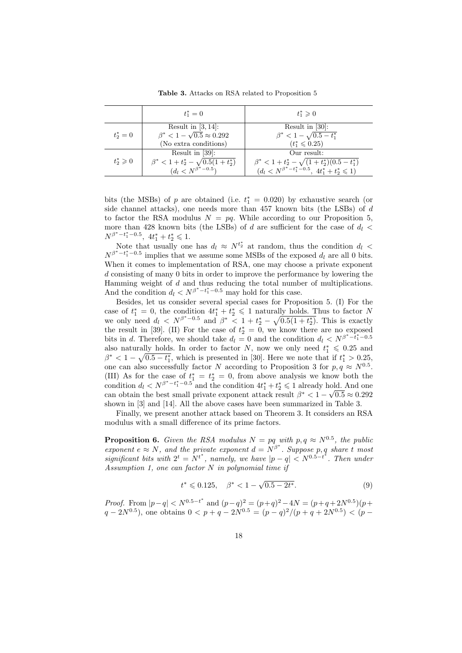Table 3. Attacks on RSA related to Proposition 5

|                     | $t_1^* = 0$                                 | $t_{1}^{*} \geq 0$                                           |
|---------------------|---------------------------------------------|--------------------------------------------------------------|
|                     | Result in $[3, 14]$ :                       | Result in $[30]$ :                                           |
| $t_{2}^{*}=0$       | $\beta^*$ < 1 – $\sqrt{0.5} \approx 0.292$  | $\beta^* < 1 - \sqrt{0.5 - t_1^*}$                           |
|                     | (No extra conditions)                       | $(t_1^* \leq 0.25)$                                          |
|                     | Result in $[39]$ :                          | Our result:                                                  |
| $t^*_2 \geqslant 0$ | $\beta^* < 1 + t_2^* - \sqrt{0.5(1+t_2^*)}$ | $\beta^* < 1 + t_2^* - \sqrt{(1+t_2^*)(0.5-t_1^*)}$          |
|                     | $(d_l < N^{\beta^* - 0.5})$                 | $(d_l \lt N^{\beta^* - t_1^* - 0.5}, 4t_1^* + t_2^* \leq 1)$ |

bits (the MSBs) of p are obtained (i.e.  $t_1^* = 0.020$ ) by exhaustive search (or side channel attacks), one needs more than 457 known bits (the LSBs) of  $d$ to factor the RSA modulus  $N = pq$ . While according to our Proposition 5, more than 428 known bits (the LSBs) of d are sufficient for the case of  $d_l$  $N^{\beta^* - t_1^* - 0.5}, \ 4t_1^* + t_2^* \leqslant 1.$ 

Note that usually one has  $d_l \approx N^{t_2^*}$  at random, thus the condition  $d_l$  $N^{\beta^* - t_1^* - 0.5}$  implies that we assume some MSBs of the exposed  $d_l$  are all 0 bits. When it comes to implementation of RSA, one may choose a private exponent d consisting of many 0 bits in order to improve the performance by lowering the Hamming weight of  $d$  and thus reducing the total number of multiplications. And the condition  $d_l \nlt N^{\beta^* - t_1^* - 0.5}$  may hold for this case.

Besides, let us consider several special cases for Proposition 5. (I) For the case of  $t_1^* = 0$ , the condition  $4t_1^* + t_2^* \leq 1$  naturally holds. Thus to factor N we only need  $d_l \, < N^{\beta^* - 0.5}$  and  $\beta^* \, < 1 + t_2^* - \sqrt{0.5(1 + t_2^*)}$ . This is exactly the result in [39]. (II) For the case of  $t_2^* = 0$ , we know there are no exposed bits in d. Therefore, we should take  $d_l = 0$  and the condition  $d_l \langle N^{\beta^* - \tilde{t}_1^* - 0.5}$ also naturally holds. In order to factor N, now we only need  $t_1^* \leq 0.25$  and  $\beta^* < 1 - \sqrt{0.5 - t_1^*}$ , which is presented in [30]. Here we note that if  $t_1^* > 0.25$ , one can also successfully factor N according to Proposition 3 for  $p, q \approx N^{0.5}$ . (III) As for the case of  $t_1^* = t_2^* = 0$ , from above analysis we know both the condition d<sup>l</sup> < N<sup>β</sup> <sup>∗</sup>−t ∗ <sup>1</sup>−0.<sup>5</sup> and the condition 4t ∗ <sup>1</sup> + t ∗ <sup>2</sup> 6 1 already hold. And one √ can obtain the best small private exponent attack result  $\beta^* < 1 - \sqrt{0.5} \approx 0.292$ shown in [3] and [14]. All the above cases have been summarized in Table 3.

Finally, we present another attack based on Theorem 3. It considers an RSA modulus with a small difference of its prime factors.

**Proposition 6.** Given the RSA modulus  $N = pq$  with  $p, q \approx N^{0.5}$ , the public exponent  $e \approx N$ , and the private exponent  $d = N^{\beta^*}$ . Suppose p, q share t most significant bits with  $2^t = N^{t^*}$ , namely, we have  $|p - q| < N^{0.5-t^*}$ . Then under Assumption 1, one can factor N in polynomial time if

$$
t^* \leqslant 0.125, \quad \beta^* < 1 - \sqrt{0.5 - 2t^*}.\tag{9}
$$

*Proof.* From  $|p-q| < N^{0.5-t^*}$  and  $(p-q)^2 = (p+q)^2 - 4N = (p+q+2N^{0.5})(p+q+q+2N^{0.5})$  $q - 2N^{0.5}$ ), one obtains  $0 < p + q - 2N^{0.5} = (p - q)^2/(p + q + 2N^{0.5}) < (p - q)^2/2$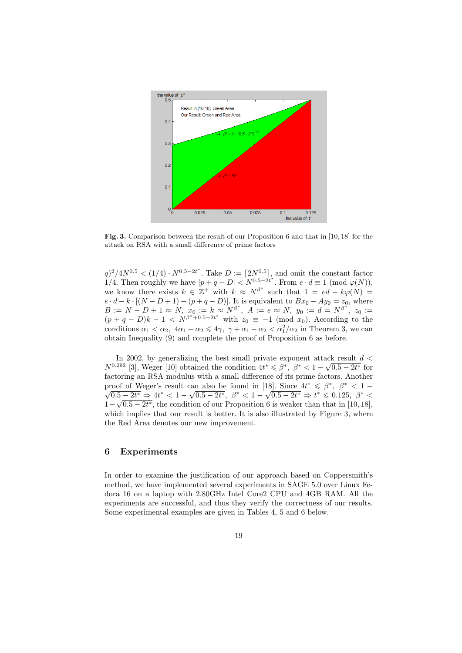

Fig. 3. Comparison between the result of our Proposition 6 and that in [10, 18] for the attack on RSA with a small difference of prime factors

 $q^2/4N^{0.5} < (1/4) \cdot N^{0.5-2t^*}$ . Take  $D := [2N^{0.5}]$ , and omit the constant factor 1/4. Then roughly we have  $|p+q-D| < N^{0.5-2t^*}$ . From  $e \cdot d \equiv 1 \pmod{\varphi(N)}$ , we know there exists  $k \in \mathbb{Z}^+$  with  $k \approx N^{\beta^*}$  such that  $1 = ed - k\varphi(N) =$  $e \cdot d - k \cdot [(N - D + 1) - (p + q - D)].$  It is equivalent to  $Bx_0 - Ay_0 = z_0$ , where  $B := N - D + 1 \approx N, \; x_0 := k \approx N^{\beta^*}, \; A := e \approx N, \; y_0 := d = N^{\beta^*}, \; z_0 :=$  $(p+q-D)k-1 \leq N^{\beta^*+0.5-2t^*}$  with  $z_0 \equiv -1 \pmod{x_0}$ . According to the conditions  $\alpha_1 < \alpha_2$ ,  $4\alpha_1 + \alpha_2 \leq 4\gamma$ ,  $\gamma + \alpha_1 - \alpha_2 < \alpha_1^2/\alpha_2$  in Theorem 3, we can obtain Inequality (9) and complete the proof of Proposition 6 as before.

In 2002, by generalizing the best small private exponent attack result  $d <$  $N^{0.292}$  [3], Weger [10] obtained the condition  $4t^* \leq \beta^*$ ,  $\beta^* < 1 - \sqrt{0.5 - 2t^*}$  for factoring an RSA modulus with a small difference of its prime factors. Another proof of Weger's result can also be found in [18]. Since  $4t^* \leq \beta^*, \ \beta^* < 1 \frac{0.5 - 2t^*}{2}$  ⇒  $4t^* < 1 - \sqrt{0.5 - 2t^*}, \ \beta^* < 1 - \sqrt{0.5 - 2t^*} \Rightarrow t^* \leq 0.125, \ \beta^* <$  $1-\sqrt{0.5-2t^*}$ , the condition of our Proposition 6 is weaker than that in [10, 18], which implies that our result is better. It is also illustrated by Figure 3, where the Red Area denotes our new improvement.

## 6 Experiments

In order to examine the justification of our approach based on Coppersmith's method, we have implemented several experiments in SAGE 5.0 over Linux Fedora 16 on a laptop with 2.80GHz Intel Core2 CPU and 4GB RAM. All the experiments are successful, and thus they verify the correctness of our results. Some experimental examples are given in Tables 4, 5 and 6 below.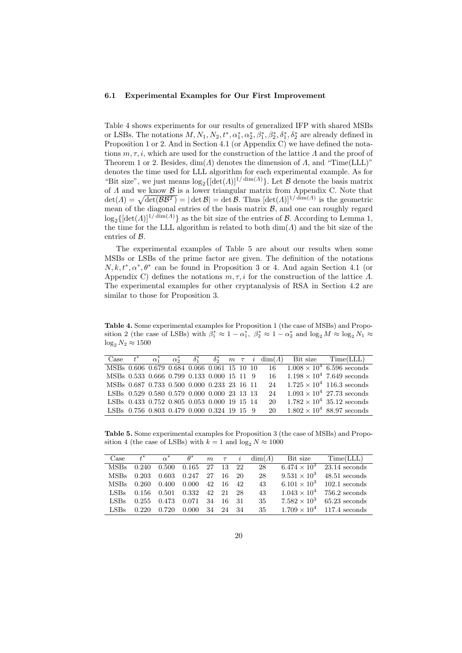#### 6.1 Experimental Examples for Our First Improvement

Table 4 shows experiments for our results of generalized IFP with shared MSBs or LSBs. The notations  $M, N_1, N_2, t^*, \alpha_1^*, \alpha_2^*, \beta_1^*, \beta_2^*, \delta_1^*, \delta_2^*$  are already defined in Proposition 1 or 2. And in Section 4.1 (or Appendix C) we have defined the notations  $m, \tau, i$ , which are used for the construction of the lattice  $\Lambda$  and the proof of Theorem 1 or 2. Besides,  $\dim(A)$  denotes the dimension of A, and "Time(LLL)" denotes the time used for LLL algorithm for each experimental example. As for "Bit size", we just means  $\log_2\{\left[\det(A)\right]^{1/\dim(A)}\}$ . Let B denote the basis matrix of  $\Lambda$  and we know  $\mathcal B$  is a lower triangular matrix from Appendix C. Note that  $\det(A) = \sqrt{\det(BB^T)} = |\det B| = \det B$ . Thus  $[\det(A)]^{1/\dim(A)}$  is the geometric mean of the diagonal entries of the basis matrix  $\mathcal{B}$ , and one can roughly regard  $\log_2\{[\det(A)]^{1/\dim(A)}\}$  as the bit size of the entries of B. According to Lemma 1, the time for the LLL algorithm is related to both  $\dim(\Lambda)$  and the bit size of the entries of B.

The experimental examples of Table 5 are about our results when some MSBs or LSBs of the prime factor are given. The definition of the notations  $N, k, t^*, \alpha^*, \theta^*$  can be found in Proposition 3 or 4. And again Section 4.1 (or Appendix C) defines the notations  $m, \tau, i$  for the construction of the lattice  $\Lambda$ . The experimental examples for other cryptanalysis of RSA in Section 4.2 are similar to those for Proposition 3.

Table 4. Some experimental examples for Proposition 1 (the case of MSBs) and Proposition 2 (the case of LSBs) with  $\beta_1^* \approx 1 - \alpha_1^*$ ,  $\beta_2^* \approx 1 - \alpha_2^*$  and  $\log_2 M \approx \log_2 N_1 \approx$  $\log_2 N_2 \approx 1500$ 

|                                             |  |  |  |  |  | Case $t^*$ $\alpha_1^*$ $\alpha_2^*$ $\delta_1^*$ $\delta_2^*$ $m \tau i \dim(A)$ Bit size Time(LLL) |
|---------------------------------------------|--|--|--|--|--|------------------------------------------------------------------------------------------------------|
|                                             |  |  |  |  |  | MSBs 0.606 0.679 0.684 0.066 0.061 15 10 10 16 $1.008 \times 10^4$ 6.596 seconds                     |
| MSBs 0.533 0.666 0.799 0.133 0.000 15 11 9  |  |  |  |  |  | $16 \t1.198 \times 10^4$ 7.649 seconds                                                               |
| MSBs 0.687 0.733 0.500 0.000 0.233 23 16 11 |  |  |  |  |  | 24 $1.725 \times 10^4$ 116.3 seconds                                                                 |
| LSBs 0.529 0.580 0.579 0.000 0.000 23 13 13 |  |  |  |  |  | 24 $1.093 \times 10^4$ 27.73 seconds                                                                 |
| LSBs 0.433 0.752 0.805 0.053 0.000 19 15 14 |  |  |  |  |  | 20 $1.782 \times 10^4$ 35.12 seconds                                                                 |
| LSBs 0.756 0.803 0.479 0.000 0.324 19 15 9  |  |  |  |  |  | 20 $1.802 \times 10^4$ 88.97 seconds                                                                 |

Table 5. Some experimental examples for Proposition 3 (the case of MSBs) and Proposition 4 (the case of LSBs) with  $k = 1$  and  $\log_2 N \approx 1000$ 

| Case        | $t^*$ |                   | $\alpha^*$ $\theta^*$ m $\tau$ i |       |       |      | $dim(\Lambda)$ | Bit size                       | Time (LLL)                        |
|-------------|-------|-------------------|----------------------------------|-------|-------|------|----------------|--------------------------------|-----------------------------------|
| <b>MSBs</b> | 0.240 | 0.500             | 0.165                            | 27    | 13 22 |      | 28             | 6.474 $\times$ 10 <sup>3</sup> | $23.14$ seconds                   |
| <b>MSBs</b> | 0.203 | 0.603             | 0.247                            | 27    | 16    | 20   | 28             | $9.531 \times 10^3$            | 48.51 seconds                     |
| <b>MSBs</b> | 0.260 | 0.400             | 0.000                            | 42    | -16   | 42   | 43             |                                | $6.101 \times 10^3$ 102.1 seconds |
| LSBs        |       | 0.156 0.501 0.332 |                                  | 42 21 |       | 28   | 43             | $1.043 \times 10^{4}$          | $756.2$ seconds                   |
| LSBs        | 0.255 | 0.473             | 0.071                            | 34    | -16   | - 31 | 35             | $7.582 \times 10^3$            | $65.23$ seconds                   |
| LSBs        | 0.220 | 0.720             | 0.000                            | 34    | 24    | -34  | 35             |                                | $1.709 \times 10^4$ 117.4 seconds |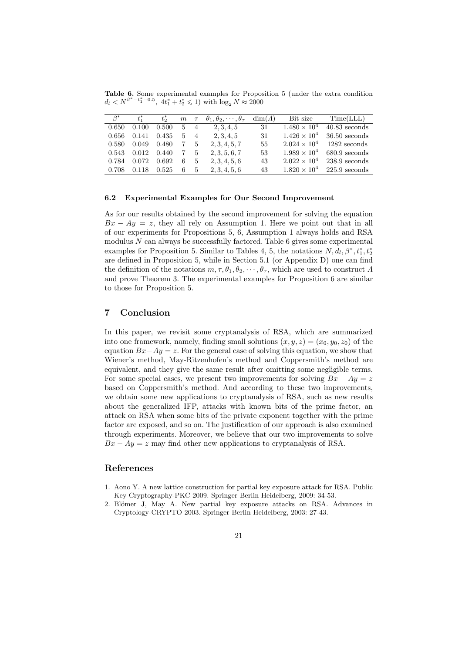Table 6. Some experimental examples for Proposition 5 (under the extra condition  $d_l \langle N^{\beta^* - t_1^* - 0.5}, \, 4t_1^* + t_2^* \leq 1 \rangle \text{ with } \log_2 N \approx 2000$ 

| $\beta^*$ | $t^*$ | $t_{\circ}^*$ |            |             | $m \tau \theta_1, \theta_2, \cdots, \theta_{\tau}$ | $dim(\Lambda)$ | Bit size              | Time (LLL)      |
|-----------|-------|---------------|------------|-------------|----------------------------------------------------|----------------|-----------------------|-----------------|
| 0.650     | 0.100 | 0.500         | $5\quad 4$ |             | 2, 3, 4, 5                                         | -31            | $1.480 \times 10^{4}$ | $40.83$ seconds |
| 0.656     | 0.141 | 0.435         |            | $5 \quad 4$ | 2, 3, 4, 5                                         | 31             | $1.426 \times 10^{4}$ | $36.50$ seconds |
| 0.580     | 0.049 | 0.480         | 7          | 5           | 2, 3, 4, 5, 7                                      | 55             | $2.024 \times 10^{4}$ | $1282$ seconds  |
| 0.543     | 0.012 | 0.440         | 7.         | $5\degree$  | 2, 3, 5, 6, 7                                      | 53             | $1.989 \times 10^{4}$ | $680.9$ seconds |
| 0.784     | 0.072 | 0.692         | 6          | - 5         | 2, 3, 4, 5, 6                                      | 43             | $2.022 \times 10^{4}$ | $238.9$ seconds |
| 0.708     | 0.118 | 0.525         | 6          | 5           | 2, 3, 4, 5, 6                                      | 43             | $1.820 \times 10^{4}$ | $225.9$ seconds |

#### 6.2 Experimental Examples for Our Second Improvement

As for our results obtained by the second improvement for solving the equation  $Bx - Ay = z$ , they all rely on Assumption 1. Here we point out that in all of our experiments for Propositions 5, 6, Assumption 1 always holds and RSA modulus  $N$  can always be successfully factored. Table 6 gives some experimental examples for Proposition 5. Similar to Tables 4, 5, the notations  $N, d_l, \beta^*, t_1^*, t_2^*$ are defined in Proposition 5, while in Section 5.1 (or Appendix D) one can find the definition of the notations  $m, \tau, \theta_1, \theta_2, \cdots, \theta_{\tau}$ , which are used to construct  $\Lambda$ and prove Theorem 3. The experimental examples for Proposition 6 are similar to those for Proposition 5.

### 7 Conclusion

In this paper, we revisit some cryptanalysis of RSA, which are summarized into one framework, namely, finding small solutions  $(x, y, z) = (x_0, y_0, z_0)$  of the equation  $Bx-Ay=z$ . For the general case of solving this equation, we show that Wiener's method, May-Ritzenhofen's method and Coppersmith's method are equivalent, and they give the same result after omitting some negligible terms. For some special cases, we present two improvements for solving  $Bx - Ay = z$ based on Coppersmith's method. And according to these two improvements, we obtain some new applications to cryptanalysis of RSA, such as new results about the generalized IFP, attacks with known bits of the prime factor, an attack on RSA when some bits of the private exponent together with the prime factor are exposed, and so on. The justification of our approach is also examined through experiments. Moreover, we believe that our two improvements to solve  $Bx - Ay = z$  may find other new applications to cryptanalysis of RSA.

## References

- 1. Aono Y. A new lattice construction for partial key exposure attack for RSA. Public Key Cryptography-PKC 2009. Springer Berlin Heidelberg, 2009: 34-53.
- 2. Blömer J, May A. New partial key exposure attacks on RSA. Advances in Cryptology-CRYPTO 2003. Springer Berlin Heidelberg, 2003: 27-43.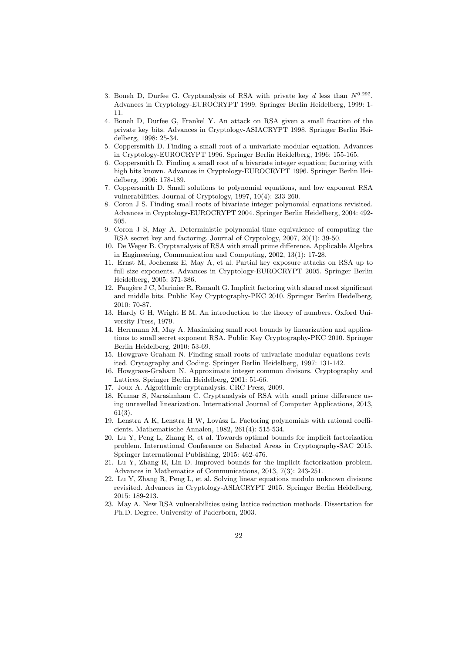- 3. Boneh D, Durfee G. Cryptanalysis of RSA with private key d less than  $N^{0.292}$ . Advances in Cryptology-EUROCRYPT 1999. Springer Berlin Heidelberg, 1999: 1- 11.
- 4. Boneh D, Durfee G, Frankel Y. An attack on RSA given a small fraction of the private key bits. Advances in Cryptology-ASIACRYPT 1998. Springer Berlin Heidelberg, 1998: 25-34.
- 5. Coppersmith D. Finding a small root of a univariate modular equation. Advances in Cryptology-EUROCRYPT 1996. Springer Berlin Heidelberg, 1996: 155-165.
- 6. Coppersmith D. Finding a small root of a bivariate integer equation; factoring with high bits known. Advances in Cryptology-EUROCRYPT 1996. Springer Berlin Heidelberg, 1996: 178-189.
- 7. Coppersmith D. Small solutions to polynomial equations, and low exponent RSA vulnerabilities. Journal of Cryptology, 1997, 10(4): 233-260.
- 8. Coron J S. Finding small roots of bivariate integer polynomial equations revisited. Advances in Cryptology-EUROCRYPT 2004. Springer Berlin Heidelberg, 2004: 492- 505.
- 9. Coron J S, May A. Deterministic polynomial-time equivalence of computing the RSA secret key and factoring. Journal of Cryptology, 2007, 20(1): 39-50.
- 10. De Weger B. Cryptanalysis of RSA with small prime difference. Applicable Algebra in Engineering, Communication and Computing, 2002, 13(1): 17-28.
- 11. Ernst M, Jochemsz E, May A, et al. Partial key exposure attacks on RSA up to full size exponents. Advances in Cryptology-EUROCRYPT 2005. Springer Berlin Heidelberg, 2005: 371-386.
- 12. Faugère J C, Marinier R, Renault G. Implicit factoring with shared most significant and middle bits. Public Key Cryptography-PKC 2010. Springer Berlin Heidelberg, 2010: 70-87.
- 13. Hardy G H, Wright E M. An introduction to the theory of numbers. Oxford University Press, 1979.
- 14. Herrmann M, May A. Maximizing small root bounds by linearization and applications to small secret exponent RSA. Public Key Cryptography-PKC 2010. Springer Berlin Heidelberg, 2010: 53-69.
- 15. Howgrave-Graham N. Finding small roots of univariate modular equations revisited. Crytography and Coding. Springer Berlin Heidelberg, 1997: 131-142.
- 16. Howgrave-Graham N. Approximate integer common divisors. Cryptography and Lattices. Springer Berlin Heidelberg, 2001: 51-66.
- 17. Joux A. Algorithmic cryptanalysis. CRC Press, 2009.
- 18. Kumar S, Narasimham C. Cryptanalysis of RSA with small prime difference using unravelled linearization. International Journal of Computer Applications, 2013, 61(3).
- 19. Lenstra A K, Lenstra H W, Lovász L. Factoring polynomials with rational coefficients. Mathematische Annalen, 1982, 261(4): 515-534.
- 20. Lu Y, Peng L, Zhang R, et al. Towards optimal bounds for implicit factorization problem. International Conference on Selected Areas in Cryptography-SAC 2015. Springer International Publishing, 2015: 462-476.
- 21. Lu Y, Zhang R, Lin D. Improved bounds for the implicit factorization problem. Advances in Mathematics of Communications, 2013, 7(3): 243-251.
- 22. Lu Y, Zhang R, Peng L, et al. Solving linear equations modulo unknown divisors: revisited. Advances in Cryptology-ASIACRYPT 2015. Springer Berlin Heidelberg, 2015: 189-213.
- 23. May A. New RSA vulnerabilities using lattice reduction methods. Dissertation for Ph.D. Degree, University of Paderborn, 2003.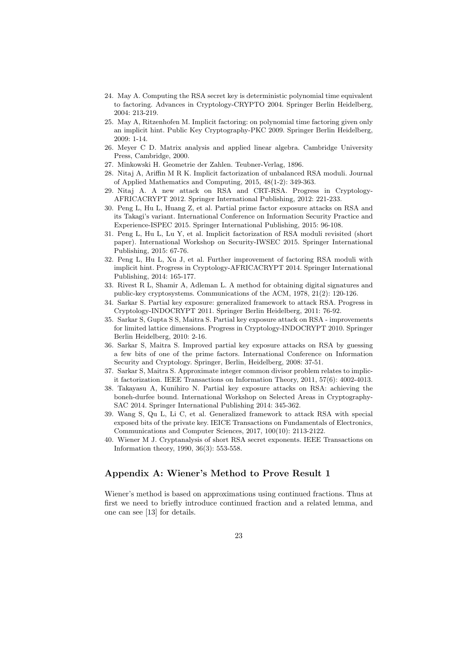- 24. May A. Computing the RSA secret key is deterministic polynomial time equivalent to factoring. Advances in Cryptology-CRYPTO 2004. Springer Berlin Heidelberg, 2004: 213-219.
- 25. May A, Ritzenhofen M. Implicit factoring: on polynomial time factoring given only an implicit hint. Public Key Cryptography-PKC 2009. Springer Berlin Heidelberg, 2009: 1-14.
- 26. Meyer C D. Matrix analysis and applied linear algebra. Cambridge University Press, Cambridge, 2000.
- 27. Minkowski H. Geometrie der Zahlen. Teubner-Verlag, 1896.
- 28. Nitaj A, Ariffin M R K. Implicit factorization of unbalanced RSA moduli. Journal of Applied Mathematics and Computing, 2015, 48(1-2): 349-363.
- 29. Nitaj A. A new attack on RSA and CRT-RSA. Progress in Cryptology-AFRICACRYPT 2012. Springer International Publishing, 2012: 221-233.
- 30. Peng L, Hu L, Huang Z, et al. Partial prime factor exposure attacks on RSA and its Takagi's variant. International Conference on Information Security Practice and Experience-ISPEC 2015. Springer International Publishing, 2015: 96-108.
- 31. Peng L, Hu L, Lu Y, et al. Implicit factorization of RSA moduli revisited (short paper). International Workshop on Security-IWSEC 2015. Springer International Publishing, 2015: 67-76.
- 32. Peng L, Hu L, Xu J, et al. Further improvement of factoring RSA moduli with implicit hint. Progress in Cryptology-AFRICACRYPT 2014. Springer International Publishing, 2014: 165-177.
- 33. Rivest R L, Shamir A, Adleman L. A method for obtaining digital signatures and public-key cryptosystems. Communications of the ACM, 1978, 21(2): 120-126.
- 34. Sarkar S. Partial key exposure: generalized framework to attack RSA. Progress in Cryptology-INDOCRYPT 2011. Springer Berlin Heidelberg, 2011: 76-92.
- 35. Sarkar S, Gupta S S, Maitra S. Partial key exposure attack on RSA improvements for limited lattice dimensions. Progress in Cryptology-INDOCRYPT 2010. Springer Berlin Heidelberg, 2010: 2-16.
- 36. Sarkar S, Maitra S. Improved partial key exposure attacks on RSA by guessing a few bits of one of the prime factors. International Conference on Information Security and Cryptology. Springer, Berlin, Heidelberg, 2008: 37-51.
- 37. Sarkar S, Maitra S. Approximate integer common divisor problem relates to implicit factorization. IEEE Transactions on Information Theory, 2011, 57(6): 4002-4013.
- 38. Takayasu A, Kunihiro N. Partial key exposure attacks on RSA: achieving the boneh-durfee bound. International Workshop on Selected Areas in Cryptography-SAC 2014. Springer International Publishing 2014: 345-362.
- 39. Wang S, Qu L, Li C, et al. Generalized framework to attack RSA with special exposed bits of the private key. IEICE Transactions on Fundamentals of Electronics, Communications and Computer Sciences, 2017, 100(10): 2113-2122.
- 40. Wiener M J. Cryptanalysis of short RSA secret exponents. IEEE Transactions on Information theory, 1990, 36(3): 553-558.

# Appendix A: Wiener's Method to Prove Result 1

Wiener's method is based on approximations using continued fractions. Thus at first we need to briefly introduce continued fraction and a related lemma, and one can see [13] for details.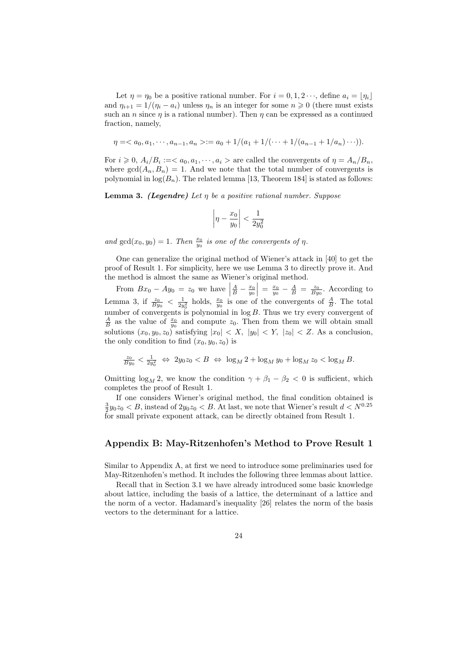Let  $\eta = \eta_0$  be a positive rational number. For  $i = 0, 1, 2 \cdots$ , define  $a_i = \lfloor \eta_i \rfloor$ and  $\eta_{i+1} = 1/(\eta_i - a_i)$  unless  $\eta_n$  is an integer for some  $n \geq 0$  (there must exists such an *n* since  $\eta$  is a rational number). Then  $\eta$  can be expressed as a continued fraction, namely,

$$
\eta =  := a_0 + 1/(a_1 + 1/(\dots + 1/(a_{n-1} + 1/a_n)\dots)).
$$

For  $i \geq 0$ ,  $A_i/B_i :=  $a_0, a_1, \dots, a_i >$  are called the convergents of  $\eta = A_n/B_n$ ,$ where  $gcd(A_n, B_n) = 1$ . And we note that the total number of convergents is polynomial in  $log(B_n)$ . The related lemma [13, Theorem 184] is stated as follows:

**Lemma 3.** (Legendre) Let  $\eta$  be a positive rational number. Suppose

$$
\left|\eta - \frac{x_0}{y_0}\right| < \frac{1}{2y_0^2}
$$

and  $gcd(x_0, y_0) = 1$ . Then  $\frac{x_0}{y_0}$  is one of the convergents of  $\eta$ .

One can generalize the original method of Wiener's attack in [40] to get the proof of Result 1. For simplicity, here we use Lemma 3 to directly prove it. And the method is almost the same as Wiener's original method.

From  $Bx_0 - Ay_0 = z_0$  we have  $\frac{A}{B} - \frac{x_0}{y_0}$  =  $\frac{x_0}{y_0} - \frac{A}{B} = \frac{z_0}{By_0}$ . According to Lemma 3, if  $\frac{z_0}{By_0} < \frac{1}{2y_0^2}$  holds,  $\frac{x_0}{y_0}$  is one of the convergents of  $\frac{A}{B}$ . The total number of convergents is polynomial in  $log B$ . Thus we try every convergent of  $\frac{A}{B}$  as the value of  $\frac{x_0}{y_0}$  and compute  $z_0$ . Then from them we will obtain small solutions  $(x_0, y_0, z_0)$  satisfying  $|x_0| < X$ ,  $|y_0| < Y$ ,  $|z_0| < Z$ . As a conclusion, the only condition to find  $(x_0, y_0, z_0)$  is

$$
\frac{z_0}{By_0} < \frac{1}{2y_0^2} \iff 2y_0 z_0 < B \iff \log_M 2 + \log_M y_0 + \log_M z_0 < \log_M B.
$$

Omitting  $\log_M 2$ , we know the condition  $\gamma + \beta_1 - \beta_2 < 0$  is sufficient, which completes the proof of Result 1.

If one considers Wiener's original method, the final condition obtained is  $\frac{3}{2}y_0z_0 < B$ , instead of  $2y_0z_0 < B$ . At last, we note that Wiener's result  $d < N^{0.25}$ for small private exponent attack, can be directly obtained from Result 1.

#### Appendix B: May-Ritzenhofen's Method to Prove Result 1

Similar to Appendix A, at first we need to introduce some preliminaries used for May-Ritzenhofen's method. It includes the following three lemmas about lattice.

Recall that in Section 3.1 we have already introduced some basic knowledge about lattice, including the basis of a lattice, the determinant of a lattice and the norm of a vector. Hadamard's inequality [26] relates the norm of the basis vectors to the determinant for a lattice.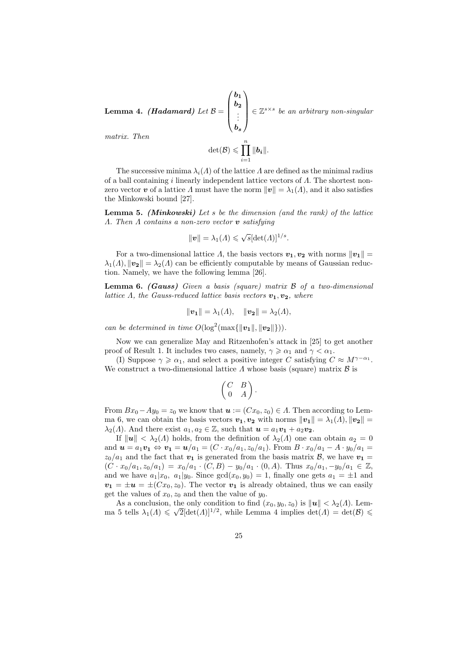${\bf Lemma ~4.}~~(Hadamard)~Let~{\cal B}=$  $\sqrt{ }$  $\overline{\phantom{a}}$  $b_1$  $b_{2}$ . . .  $b_s$  $\setminus$  $\epsilon \in \mathbb{Z}^{s \times s}$  be an arbitrary non-singular matrix. Then

$$
\det(\mathcal{B}) \leqslant \prod_{i=1}^n \|b_i\|.
$$

The successive minima  $\lambda_i(\Lambda)$  of the lattice  $\Lambda$  are defined as the minimal radius of a ball containing i linearly independent lattice vectors of  $\Lambda$ . The shortest nonzero vector v of a lattice  $\Lambda$  must have the norm  $||v|| = \lambda_1(\Lambda)$ , and it also satisfies the Minkowski bound [27].

**Lemma 5.** (Minkowski) Let s be the dimension (and the rank) of the lattice  $\Lambda$ . Then  $\Lambda$  contains a non-zero vector **v** satisfying

$$
\|\boldsymbol{v}\| = \lambda_1(\Lambda) \leqslant \sqrt{s}[\det(\Lambda)]^{1/s}.
$$

For a two-dimensional lattice  $\Lambda$ , the basis vectors  $v_1, v_2$  with norms  $||v_1|| =$  $\lambda_1(\Lambda), ||\mathbf{v}_2|| = \lambda_2(\Lambda)$  can be efficiently computable by means of Gaussian reduction. Namely, we have the following lemma [26].

**Lemma 6.** (Gauss) Given a basis (square) matrix  $\beta$  of a two-dimensional lattice  $\Lambda$ , the Gauss-reduced lattice basis vectors  $v_1, v_2$ , where

$$
\|\mathbf{v_1}\| = \lambda_1(A), \quad \|\mathbf{v_2}\| = \lambda_2(A),
$$

can be determined in time  $O(\log^2(\max\{\|\mathbf{v_1}\|, \|\mathbf{v_2}\|\})).$ 

Now we can generalize May and Ritzenhofen's attack in [25] to get another proof of Result 1. It includes two cases, namely,  $\gamma \geq \alpha_1$  and  $\gamma < \alpha_1$ .

(I) Suppose  $\gamma \geq \alpha_1$ , and select a positive integer C satisfying  $C \approx M^{\gamma-\alpha_1}$ . We construct a two-dimensional lattice  $\Lambda$  whose basis (square) matrix  $\mathcal B$  is

$$
\left(\begin{matrix} C & B \\ 0 & A \end{matrix}\right).
$$

From  $Bx_0-Ay_0=z_0$  we know that  $u := (Cx_0, z_0) \in \Lambda$ . Then according to Lemma 6, we can obtain the basis vectors  $v_1, v_2$  with norms  $||v_1|| = \lambda_1(\Lambda), ||v_2|| =$  $\lambda_2(\Lambda)$ . And there exist  $a_1, a_2 \in \mathbb{Z}$ , such that  $\mathbf{u} = a_1 \mathbf{v}_1 + a_2 \mathbf{v}_2$ .

If  $\|\mathbf{u}\| < \lambda_2(\Lambda)$  holds, from the definition of  $\lambda_2(\Lambda)$  one can obtain  $a_2 = 0$ and  $u = a_1v_1 \Leftrightarrow v_1 = u/a_1 = (C \cdot x_0/a_1, z_0/a_1)$ . From  $B \cdot x_0/a_1 - A \cdot y_0/a_1 =$  $z_0/a_1$  and the fact that  $v_1$  is generated from the basis matrix  $\mathcal{B}$ , we have  $v_1 =$  $(C \cdot x_0/a_1, z_0/a_1) = x_0/a_1 \cdot (C, B) - y_0/a_1 \cdot (0, A)$ . Thus  $x_0/a_1, -y_0/a_1 \in \mathbb{Z}$ , and we have  $a_1|x_0, a_1|y_0$ . Since  $gcd(x_0, y_0) = 1$ , finally one gets  $a_1 = \pm 1$  and  $v_1 = \pm u = \pm (Cx_0, z_0)$ . The vector  $v_1$  is already obtained, thus we can easily get the values of  $x_0, z_0$  and then the value of  $y_0$ .

As a conclusion, the only condition to find  $(x_0, y_0, z_0)$  is  $\|\boldsymbol{u}\| < \lambda_2(\Lambda)$ . Lemma 5 tells  $\lambda_1(\Lambda) \leqslant \sqrt{2}[\det(\Lambda)]^{1/2}$ , while Lemma 4 implies  $\det(\Lambda) = \det(\mathcal{B}) \leqslant$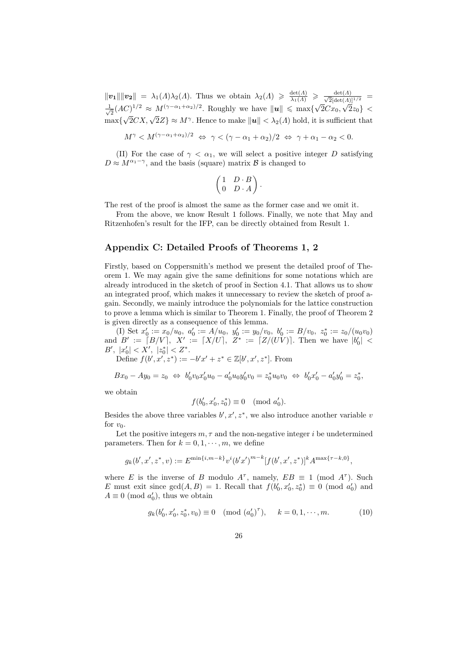$||\mathbf{v_1}|| ||\mathbf{v_2}|| = \lambda_1(\Lambda)\lambda_2(\Lambda)$ . Thus we obtain  $\lambda_2(\Lambda) \geq \frac{\det(\Lambda)}{\lambda_1(\Lambda)} \geq \frac{\det(\Lambda)}{\sqrt{2}[\det(\Lambda)]^{1/2}}$ √ 1  $\frac{1}{2} (AC)^{1/2} \approx M^{(\gamma - \alpha_1 + \alpha_2)/2}$ . Roughly we have  $||u|| \le \max\{\sqrt{\alpha_1 + \alpha_2}$  $2Cx_0$ √  $(C)^{1/2} \approx M^{(\gamma-\alpha_1+\alpha_2)/2}$ . Roughly we have  $||u|| \le \max\{\sqrt{2C}x_0, \sqrt{2}z_0\}$  $\max{\sqrt{2}CX, \sqrt{2}Z} \approx M^{\gamma}$ . Hence to make  $||u|| < \lambda_2(\Lambda)$  hold, it is sufficient that

 $M^{\gamma} < M^{(\gamma - \alpha_1 + \alpha_2)/2} \Leftrightarrow \gamma < (\gamma - \alpha_1 + \alpha_2)/2 \Leftrightarrow \gamma + \alpha_1 - \alpha_2 < 0.$ 

(II) For the case of  $\gamma < \alpha_1$ , we will select a positive integer D satisfying  $D \approx M^{\alpha_1 - \gamma}$ , and the basis (square) matrix B is changed to

$$
\begin{pmatrix} 1 & D \cdot B \\ 0 & D \cdot A \end{pmatrix}.
$$

The rest of the proof is almost the same as the former case and we omit it.

From the above, we know Result 1 follows. Finally, we note that May and Ritzenhofen's result for the IFP, can be directly obtained from Result 1.

## Appendix C: Detailed Proofs of Theorems 1, 2

Firstly, based on Coppersmith's method we present the detailed proof of Theorem 1. We may again give the same definitions for some notations which are already introduced in the sketch of proof in Section 4.1. That allows us to show an integrated proof, which makes it unnecessary to review the sketch of proof again. Secondly, we mainly introduce the polynomials for the lattice construction to prove a lemma which is similar to Theorem 1. Finally, the proof of Theorem 2 is given directly as a consequence of this lemma.

(I) Set  $x'_0 := x_0/u_0$ ,  $a'_0 := A/u_0$ ,  $y'_0 := y_0/v_0$ ,  $b'_0 := B/v_0$ ,  $z_0^* := z_0/(u_0v_0)$ and  $B' := [B/V], X' := [X/U], Z^* := [Z/(UV)].$  Then we have  $|b'_0|$  <  $B', |x'_0| < X', |z_0^*| < Z^*.$ 

Define  $f(b', x', z^*) := -b'x' + z^* \in \mathbb{Z}[b', x', z^*]$ . From

$$
Bx_0 - Ay_0 = z_0 \Leftrightarrow b'_0v_0x'_0u_0 - a'_0u_0y'_0v_0 = z_0^*u_0v_0 \Leftrightarrow b'_0x'_0 - a'_0y'_0 = z_0^*,
$$

we obtain

$$
f(b'_0, x'_0, z_0^*) \equiv 0 \pmod{a'_0}.
$$

Besides the above three variables  $b', x', z^*$ , we also introduce another variable v for  $v_0$ .

Let the positive integers  $m, \tau$  and the non-negative integer i be undetermined parameters. Then for  $k = 0, 1, \dots, m$ , we define

$$
g_k(b', x', z^*, v) := E^{\min\{i, m-k\}} v^i (b' x')^{m-k} [f(b', x', z^*)]^k A^{\max\{\tau - k, 0\}},
$$

where E is the inverse of B modulo  $A^{\tau}$ , namely,  $EB \equiv 1 \pmod{A^{\tau}}$ . Such E must exit since  $gcd(A, B) = 1$ . Recall that  $f(b'_0, x'_0, z_0^*) \equiv 0 \pmod{a'_0}$  and  $A \equiv 0 \pmod{a_0'}$ , thus we obtain

$$
g_k(b'_0, x'_0, z_0^*, v_0) \equiv 0 \pmod{(a'_0)^\tau}, \quad k = 0, 1, \cdots, m. \tag{10}
$$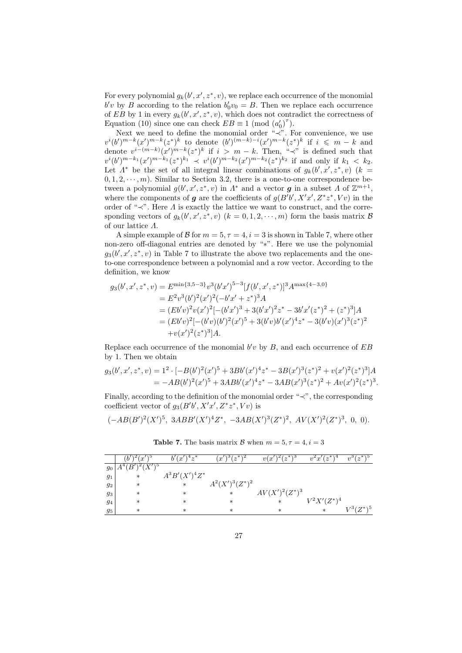For every polynomial  $g_k(b', x', z^*, v)$ , we replace each occurrence of the monomial  $b'v$  by B according to the relation  $b'_0v_0 = B$ . Then we replace each occurrence of EB by 1 in every  $g_k(b', x', z^*, v)$ , which does not contradict the correctness of Equation (10) since one can check  $EB \equiv 1 \pmod{(a_0')^{\tau}}$ .

Next we need to define the monomial order "≺". For convenience, we use  $v^{i}(b')^{m-k}(x')^{m-k}(z^*)^{k}$  to denote  $(b')^{(m-k)-i}(x')^{m-k}(z^*)^{k}$  if  $i \leq m-k$  and denote  $v^{i-(m-k)}(x')^{m-k}(z^*)^k$  if  $i > m-k$ . Then, "≺" is defined such that  $v^{i}(b')^{m-k_1}(x')^{m-k_1}(z^*)^{k_1} \prec v^{i}(b')^{m-k_2}(x')^{m-k_2}(z^*)^{k_2}$  if and only if  $k_1 < k_2$ . Let  $\Lambda^*$  be the set of all integral linear combinations of  $g_k(b', x', z^*, v)$  ( $k =$  $(0, 1, 2, \dots, m)$ . Similar to Section 3.2, there is a one-to-one correspondence between a polynomial  $g(b', x', z^*, v)$  in  $\Lambda^*$  and a vector **g** in a subset  $\Lambda$  of  $\mathbb{Z}^{m+1}$ , where the components of g are the coefficients of  $g(B'b', X'x', Z^*z^*, Vv)$  in the order of " $\prec$ ". Here  $\Lambda$  is exactly the lattice we want to construct, and the corresponding vectors of  $g_k(b', x', z^*, v)$   $(k = 0, 1, 2, \dots, m)$  form the basis matrix  $\mathcal{B}$ of our lattice Λ.

A simple example of B for  $m = 5, \tau = 4, i = 3$  is shown in Table 7, where other non-zero off-diagonal entries are denoted by "∗". Here we use the polynomial  $g_3(b', x', z^*, v)$  in Table 7 to illustrate the above two replacements and the oneto-one correspondence between a polynomial and a row vector. According to the definition, we know

$$
g_3(b', x', z^*, v) = E^{\min\{3,5-3\}}v^3(b'x')^{5-3}[f(b', x', z^*)]^3 A^{\max\{4-3,0\}}
$$
  
\n
$$
= E^2v^3(b')^2(x')^2(-b'x' + z^*)^3 A
$$
  
\n
$$
= (Eb'v)^2v(x')^2[-(b'x')^3 + 3(b'x')^2z^* - 3b'x'(z^*)^2 + (z^*)^3]A
$$
  
\n
$$
= (Eb'v)^2[-(b'v)(b')^2(x')^5 + 3(b'v)b'(x')^4z^* - 3(b'v)(x')^3(z^*)^2
$$
  
\n
$$
+v(x')^2(z^*)^3]A.
$$

Replace each occurrence of the monomial  $b'v$  by  $B$ , and each occurrence of  $EB$ by 1. Then we obtain

$$
g_3(b', x', z^*, v) = 1^2 \cdot [-B(b')^2(x')^5 + 3Bb'(x')^4 z^* - 3B(x')^3(z^*)^2 + v(x')^2(z^*)^3]A
$$
  
=  $-AB(b')^2(x')^5 + 3ABb'(x')^4 z^* - 3AB(x')^3(z^*)^2 + Av(x')^2(z^*)^3.$ 

Finally, according to the definition of the monomial order "≺", the corresponding coefficient vector of  $g_3(B'b', X'x', Z^*z^*, Vv)$  is

$$
(-AB(B')^2(X')^5, 3ABB'(X')^4Z^*, -3AB(X')^3(Z^*)^2, AV(X')^2(Z^*)^3, 0, 0).
$$

|       | $\boldsymbol{x}$ | $4 \gamma^*$<br>$\boldsymbol{x}$ | $\sim^*$<br>. ల<br>$x^{\prime}$ | $(z^*)$<br>. 0<br>v(x) | $z^*$<br>$v^*x'$ | $12^*$<br>Ð<br>$v^{\circ}$ |
|-------|------------------|----------------------------------|---------------------------------|------------------------|------------------|----------------------------|
| 90    | $V/\sqrt{5}$     |                                  |                                 |                        |                  |                            |
| $g_1$ | $\ast$           | $A^3B'(X')^4Z^*$                 |                                 |                        |                  |                            |
| 92    | ∗                | $\ast$                           | $A^2(X')^3(Z^*)^2$              |                        |                  |                            |
| 93    | $\ast$           | $\ast$                           | $\ast$                          | $AV(X')^2(Z^*)^3$      |                  |                            |
| 94    | $\ast$           | $\ast$                           | $\ast$                          | $\ast$                 | $V^2 X'(Z^*)^4$  |                            |
| 95    | $\ast$           | $\ast$                           | $\ast$                          | $\ast$                 | $\ast$           | $V^3(Z^*)^5$               |

**Table 7.** The basis matrix B when  $m = 5, \tau = 4, i = 3$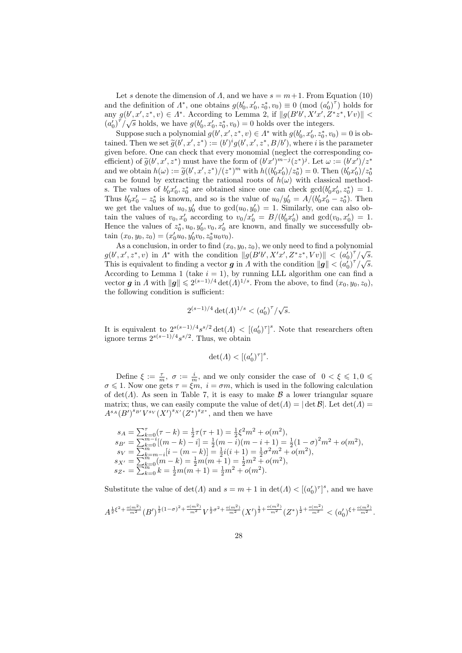Let s denote the dimension of A, and we have  $s = m + 1$ . From Equation (10) and the definition of  $\Lambda^*$ , one obtains  $g(b'_0, x'_0, z_0^*, v_0) \equiv 0 \pmod{(a'_0)^{\tau}}$  holds for any  $g(b', x', z^*, v) \in \Lambda^*$ . According to Lemma 2, if  $||g(B'b', X'x', Z^*z^*, Vv)||$  $(a_0')^{\tau}/\sqrt{s}$  holds, we have  $g(b_0', x_0', z_0^*, v_0) = 0$  holds over the integers.

Suppose such a polynomial  $g(b', x', z^*, v) \in \Lambda^*$  with  $g(b'_0, x'_0, z_0^*, v_0) = 0$  is obtained. Then we set  $\tilde{g}(b', x', z^*) := (b')^i g(b', x', z^*, B/b')$ , where i is the parameter<br>given before. One can check that every monomial (perfect the corresponding co given before. One can check that every monomial (neglect the corresponding coefficient) of  $\tilde{g}(b', x', z^*)$  must have the form of  $(b'x')^{m-j}(z^*)^j$ . Let  $\omega := (b'x')/z^*$ <br>and we obtain  $h(\omega) := \tilde{g}(b'x')/(z^*)^m$  with  $h((b'x')/z^*) = 0$ . Then  $(b'x')/z^*$ and we obtain  $h(\omega) := \tilde{g}(b', x', z^*)/(z^*)^m$  with  $h((b'_0x'_0)/z_0^*) = 0$ . Then  $(b'_0x'_0)/z_0^*$ can be found by extracting the rational roots of  $h(\omega)$  with classical methods. The values of  $b'_0x'_0, z_0^*$  are obtained since one can check  $gcd(b'_0x'_0, z_0^*) = 1$ . Thus  $b'_0x'_0 - z_0^*$  is known, and so is the value of  $u_0/y'_0 = A/(b'_0x'_0 - z_0^*)$ . Then we get the values of  $u_0, y'_0$  due to  $gcd(u_0, y'_0) = 1$ . Similarly, one can also obtain the values of  $v_0, x'_0$  according to  $v_0/x'_0 = B/(b'_0x'_0)$  and  $gcd(v_0, x'_0) = 1$ . Hence the values of  $z_0^*, u_0, y_0', v_0, x_0'$  are known, and finally we successfully obtain  $(x_0, y_0, z_0) = (x'_0 u_0, y'_0 v_0, z_0^* u_0 v_0).$ 

As a conclusion, in order to find  $(x_0, y_0, z_0)$ , we only need to find a polynomial  $g(b', x', z^*, v)$  in  $\Lambda^*$  with the condition  $||g(B'b', X'x', Z^*z^*, Vv)|| < (a_0')^{\tau}/\sqrt{s}$ . This is equivalent to finding a vector g in A with the condition  $\|\mathbf{g}\| < (a_0')^{\tau}/\sqrt{s}$ . According to Lemma 1 (take  $i = 1$ ), by running LLL algorithm one can find a vector g in A with  $||g|| \leq 2^{(s-1)/4} \det(A)^{1/s}$ . From the above, to find  $(x_0, y_0, z_0)$ , the following condition is sufficient:

$$
2^{(s-1)/4} \det(\Lambda)^{1/s} < \left(a_0'\right)^\tau / \sqrt{s}.
$$

It is equivalent to  $2^{s(s-1)/4} s^{s/2} \det(\Lambda) < [(\alpha'_0)^{\tau}]^s$ . Note that researchers often ignore terms  $2^{s(s-1)/4} s^{s/2}$ . Thus, we obtain

$$
\det(\varLambda) < \left[(a_0')^\tau\right]^s.
$$

Define  $\xi := \frac{\tau}{m}$ ,  $\sigma := \frac{i}{m}$ , and we only consider the case of  $0 < \xi \leq 1, 0 \leq \xi$  $\sigma \leq 1$ . Now one gets  $\tau = \xi m$ ,  $i = \sigma m$ , which is used in the following calculation of det( $\Lambda$ ). As seen in Table 7, it is easy to make  $\beta$  a lower triangular square matrix; thus, we can easily compute the value of  $\det(\Lambda) = |\det \mathcal{B}|$ . Let  $\det(\Lambda) =$  $A^{s_A}(B')^{s_{B'}}V^{s_V}(X')^{s_{X'}}(Z^*)^{s_{Z^*}},$  and then we have

$$
\begin{array}{l} s_A=\sum_{k=0}^{\tau}(\tau-k)=\frac{1}{2}\tau(\tau+1)=\frac{1}{2}\xi^2m^2+o(m^2),\\ s_{B'}=\sum_{k=0}^{m-i}[(m-k)-i]=\frac{1}{2}(m-i)(m-i+1)=\frac{1}{2}(1-\sigma)^2m^2+o(m^2),\\ s_V=\sum_{k=m-i}^{m}[i-(m-k)]=\frac{1}{2}i(i+1)=\frac{1}{2}\sigma^2m^2+o(m^2),\\ s_{X'}=\sum_{k=0}^{m}(m-k)=\frac{1}{2}m(m+1)=\frac{1}{2}m^2+o(m^2),\\ s_{Z^*}=\sum_{k=0}^{m}k=\frac{1}{2}m(m+1)=\frac{1}{2}m^2+o(m^2). \end{array}
$$

Substitute the value of  $\det(A)$  and  $s = m + 1$  in  $\det(A) < [(a'_0)^{\tau}]^s$ , and we have

$$
A^{\frac{1}{2}\xi^2 + \frac{o(m^2)}{m^2}}(B')^{\frac{1}{2}(1-\sigma)^2 + \frac{o(m^2)}{m^2}}V^{\frac{1}{2}\sigma^2 + \frac{o(m^2)}{m^2}}(X')^{\frac{1}{2} + \frac{o(m^2)}{m^2}}(Z^*)^{\frac{1}{2} + \frac{o(m^2)}{m^2}} < (a'_0)^{\xi + \frac{o(m^2)}{m^2}}.
$$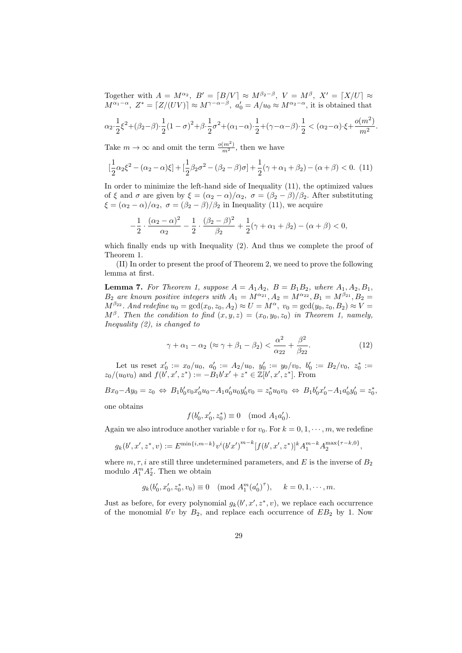Together with  $A = M^{\alpha_2}$ ,  $B' = [B/V] \approx M^{\beta_2-\beta}$ ,  $V = M^{\beta}$ ,  $X' = [X/U] \approx$  $M^{\alpha_1-\alpha}$ ,  $Z^* = [Z/(UV)] \approx M^{\gamma-\alpha-\beta}$ ,  $a'_0 = A/u_0 \approx M^{\alpha_2-\alpha}$ , it is obtained that

$$
\alpha_2 \cdot \frac{1}{2}\xi^2 + (\beta_2 - \beta) \cdot \frac{1}{2}(1 - \sigma)^2 + \beta \cdot \frac{1}{2}\sigma^2 + (\alpha_1 - \alpha) \cdot \frac{1}{2} + (\gamma - \alpha - \beta) \cdot \frac{1}{2} < (\alpha_2 - \alpha) \cdot \xi + \frac{o(m^2)}{m^2}.
$$

Take  $m \to \infty$  and omit the term  $\frac{o(m^2)}{m^2}$ , then we have

$$
\left[\frac{1}{2}\alpha_2\xi^2 - (\alpha_2 - \alpha)\xi\right] + \left[\frac{1}{2}\beta_2\sigma^2 - (\beta_2 - \beta)\sigma\right] + \frac{1}{2}(\gamma + \alpha_1 + \beta_2) - (\alpha + \beta) < 0. \tag{11}
$$

In order to minimize the left-hand side of Inequality (11), the optimized values of  $\xi$  and  $\sigma$  are given by  $\xi = (\alpha_2 - \alpha)/\alpha_2$ ,  $\sigma = (\beta_2 - \beta)/\beta_2$ . After substituting  $\xi = (\alpha_2 - \alpha)/\alpha_2$ ,  $\sigma = (\beta_2 - \beta)/\beta_2$  in Inequality (11), we acquire

$$
-\frac{1}{2} \cdot \frac{(\alpha_2 - \alpha)^2}{\alpha_2} - \frac{1}{2} \cdot \frac{(\beta_2 - \beta)^2}{\beta_2} + \frac{1}{2}(\gamma + \alpha_1 + \beta_2) - (\alpha + \beta) < 0,
$$

which finally ends up with Inequality (2). And thus we complete the proof of Theorem 1.

(II) In order to present the proof of Theorem 2, we need to prove the following lemma at first.

**Lemma 7.** For Theorem 1, suppose  $A = A_1 A_2$ ,  $B = B_1 B_2$ , where  $A_1, A_2, B_1$ ,  $B_2$  are known positive integers with  $A_1 = M^{\alpha_{21}}, A_2 = M^{\alpha_{22}}, B_1 = M^{\beta_{21}}, B_2 =$  $M^{\beta_{22}}$ . And redefine  $u_0 = \gcd(x_0, z_0, A_2) \approx U = M^{\alpha}$ ,  $v_0 = \gcd(y_0, z_0, B_2) \approx V =$  $M^{\beta}$ . Then the condition to find  $(x, y, z) = (x_0, y_0, z_0)$  in Theorem 1, namely, Inequality (2), is changed to

$$
\gamma + \alpha_1 - \alpha_2 \ (\approx \gamma + \beta_1 - \beta_2) < \frac{\alpha^2}{\alpha_{22}} + \frac{\beta^2}{\beta_{22}}.\tag{12}
$$

Let us reset  $x'_0 := x_0/u_0$ ,  $a'_0 := A_2/u_0$ ,  $y'_0 := y_0/v_0$ ,  $b'_0 := B_2/v_0$ ,  $z_0^* :=$  $z_0/(u_0v_0)$  and  $f(b', x', z^*) := -\overset{\sim}{B_1}b'x' + z^* \in \mathbb{Z}[b', x', z^*]$ . From

 $Bx_0 - Ay_0 = z_0 \Leftrightarrow B_1b'_0v_0x'_0u_0 - A_1a'_0u_0y'_0v_0 = z_0^*u_0v_0 \Leftrightarrow B_1b'_0x'_0 - A_1a'_0y'_0 = z_0^*,$ one obtains

$$
f(b'_0, x'_0, z_0^*) \equiv 0 \pmod{A_1 a'_0}.
$$

Again we also introduce another variable v for  $v_0$ . For  $k = 0, 1, \dots, m$ , we redefine

$$
g_k(b',x',z^*,v) := E^{\min\{i,m-k\}}v^i(b'x')^{m-k}[f(b',x',z^*)]^k A_1^{m-k} A_2^{\max\{\tau-k,0\}},
$$

where  $m, \tau, i$  are still three undetermined parameters, and E is the inverse of  $B_2$ modulo  $A_1^m A_2^{\tau}$ . Then we obtain

$$
g_k(b'_0, x'_0, z_0^*, v_0) \equiv 0 \pmod{A_1^m(a'_0)^{\tau}}, \quad k = 0, 1, \dots, m.
$$

Just as before, for every polynomial  $g_k(b', x', z^*, v)$ , we replace each occurrence of the monomial  $b'v$  by  $B_2$ , and replace each occurrence of  $EB_2$  by 1. Now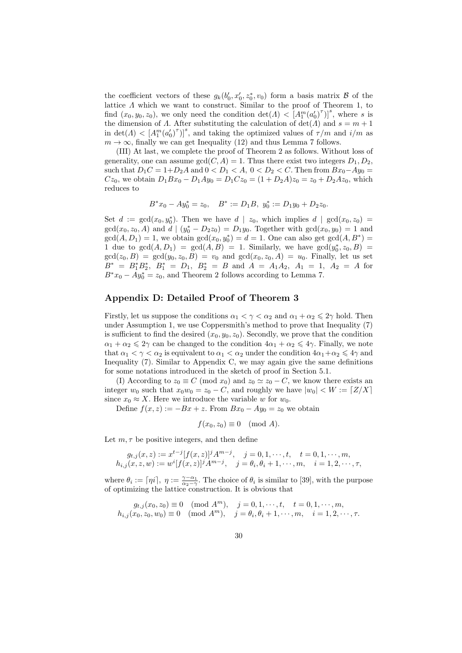the coefficient vectors of these  $g_k(b'_0, x'_0, z_0^*, v_0)$  form a basis matrix  $\mathcal B$  of the lattice  $\Lambda$  which we want to construct. Similar to the proof of Theorem 1, to find  $(x_0, y_0, z_0)$ , we only need the condition  $\det(A) < [A_1^m (a'_0)^{\tau}]^s$ , where *s* is the dimension of  $\Lambda$ . After substituting the calculation of  $\det(\Lambda)$  and  $s = m + 1$ in  $\det(A) < [A_1^m (a'_0)^{\tau}]^s$ , and taking the optimized values of  $\tau/m$  and  $i/m$  as  $m \to \infty$ , finally we can get Inequality (12) and thus Lemma 7 follows.

(III) At last, we complete the proof of Theorem 2 as follows. Without loss of generality, one can assume  $gcd(C, A) = 1$ . Thus there exist two integers  $D_1, D_2$ , such that  $D_1C = 1 + D_2A$  and  $0 < D_1 < A$ ,  $0 < D_2 < C$ . Then from  $Bx_0 - Ay_0 =$  $Cz_0$ , we obtain  $D_1Bx_0 - D_1Ay_0 = D_1Cz_0 = (1 + D_2A)z_0 = z_0 + D_2Az_0$ , which reduces to

$$
B^*x_0 - Ay_0^* = z_0, \quad B^* := D_1B, \ y_0^* := D_1y_0 + D_2z_0.
$$

Set  $d := \gcd(x_0, y_0^*)$ . Then we have  $d | z_0$ , which implies  $d | \gcd(x_0, z_0)$  $gcd(x_0, z_0, A)$  and  $d | (y_0^* - D_2 z_0) = D_1 y_0$ . Together with  $gcd(x_0, y_0) = 1$  and  $gcd(A, D_1) = 1$ , we obtain  $gcd(x_0, y_0^*) = d = 1$ . One can also get  $gcd(A, B^*) =$ 1 due to  $gcd(A, D_1) = gcd(A, B) = 1$ . Similarly, we have  $gcd(y_0^*, z_0, B) =$  $gcd(z_0, B) = gcd(y_0, z_0, B) = v_0$  and  $gcd(x_0, z_0, A) = u_0$ . Finally, let us set  $B^* = B_1^* B_2^*, B_1^* = D_1, B_2^* = B \text{ and } A = A_1 A_2, A_1 = 1, A_2 = A \text{ for } A_1, A_2 = A_1$  $B^*x_0 - Ay_0^* = z_0$ , and Theorem 2 follows according to Lemma 7.

## Appendix D: Detailed Proof of Theorem 3

Firstly, let us suppose the conditions  $\alpha_1 < \gamma < \alpha_2$  and  $\alpha_1 + \alpha_2 \leqslant 2\gamma$  hold. Then under Assumption 1, we use Coppersmith's method to prove that Inequality (7) is sufficient to find the desired  $(x_0, y_0, z_0)$ . Secondly, we prove that the condition  $\alpha_1 + \alpha_2 \leq 2\gamma$  can be changed to the condition  $4\alpha_1 + \alpha_2 \leq 4\gamma$ . Finally, we note that  $\alpha_1 < \gamma < \alpha_2$  is equivalent to  $\alpha_1 < \alpha_2$  under the condition  $4\alpha_1 + \alpha_2 \leq 4\gamma$  and Inequality (7). Similar to Appendix C, we may again give the same definitions for some notations introduced in the sketch of proof in Section 5.1.

(I) According to  $z_0 \equiv C \pmod{x_0}$  and  $z_0 \simeq z_0 - C$ , we know there exists an integer  $w_0$  such that  $x_0w_0 = z_0 - C$ , and roughly we have  $|w_0| < W := \lfloor Z/X \rfloor$ since  $x_0 \approx X$ . Here we introduce the variable w for  $w_0$ .

Define  $f(x, z) := -Bx + z$ . From  $Bx_0 - Ay_0 = z_0$  we obtain

$$
f(x_0, z_0) \equiv 0 \pmod{A}.
$$

Let  $m, \tau$  be positive integers, and then define

$$
g_{t,j}(x, z) := x^{t-j} [f(x, z)]^j A^{m-j}, \quad j = 0, 1, \dots, t, \quad t = 0, 1, \dots, m,
$$
  
\n
$$
h_{i,j}(x, z, w) := w^i [f(x, z)]^j A^{m-j}, \quad j = \theta_i, \theta_i + 1, \dots, m, \quad i = 1, 2, \dots, \tau,
$$

where  $\theta_i := \lfloor \eta i \rfloor$ ,  $\eta := \frac{\gamma - \alpha_1}{\alpha_2 - \gamma}$ . The choice of  $\theta_i$  is similar to [39], with the purpose of optimizing the lattice construction. It is obvious that

$$
g_{t,j}(x_0, z_0) \equiv 0 \pmod{A^m}, \quad j = 0, 1, \dots, t, \quad t = 0, 1, \dots, m,
$$
  

$$
h_{i,j}(x_0, z_0, w_0) \equiv 0 \pmod{A^m}, \quad j = \theta_i, \theta_i + 1, \dots, m, \quad i = 1, 2, \dots, \tau.
$$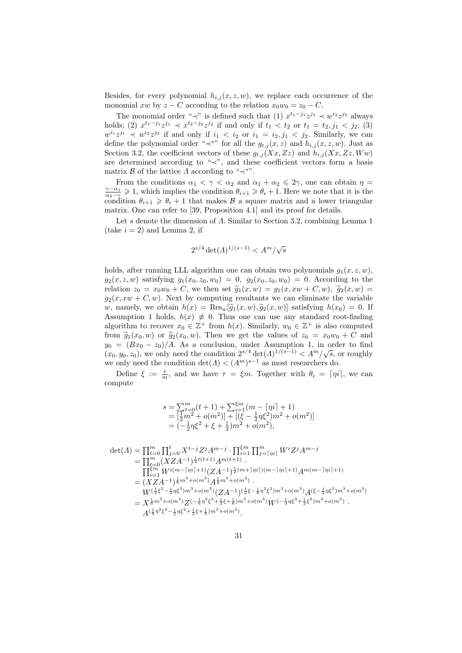Besides, for every polynomial  $h_{i,j}(x, z, w)$ , we replace each occurrence of the monomial xw by  $z - C$  according to the relation  $x_0w_0 = z_0 - C$ .

The monomial order " $\prec$ " is defined such that (1)  $x^{t_1-j_1}z^{j_1} \prec w^{i_2}z^{j_2}$  always holds; (2)  $x^{t_1-j_1}z^{j_1} \prec x^{t_2-j_2}z^{j_2}$  if and only if  $t_1 < t_2$  or  $t_1 = t_2, j_1 < j_2$ ; (3)  $w^{i_1}z^{j_1} \prec w^{i_2}z^{j_2}$  if and only if  $i_1 < i_2$  or  $i_1 = i_2, j_1 < j_2$ . Similarly, we can define the polynomial order " $\prec^*$ " for all the  $g_{t,j}(x, z)$  and  $h_{i,j}(x, z, w)$ . Just as Section 3.2, the coefficient vectors of these  $g_{t,j}(Xx, Zz)$  and  $h_{i,j}(Xx, Zz, Ww)$ are determined according to "≺", and these coefficient vectors form a basis matrix  $\beta$  of the lattice  $\Lambda$  according to " $\prec^*$ ".

From the conditions  $\alpha_1 < \gamma < \alpha_2$  and  $\alpha_1 + \alpha_2 \leq 2\gamma$ , one can obtain  $\eta =$  $\frac{\gamma-\alpha_1}{\alpha_2-\gamma}\geqslant 1$ , which implies the condition  $\theta_{i+1}\geqslant \theta_i+1$ . Here we note that it is the condition  $\theta_{i+1} \geq \theta_i + 1$  that makes  $\beta$  a square matrix and a lower triangular matrix. One can refer to [39, Proposition 4.1] and its proof for details.

Let s denote the dimension of Λ. Similar to Section 3.2, combining Lemma 1  $(\text{take } i = 2)$  and Lemma 2, if

$$
2^{s/4} \det(\Lambda)^{1/(s-1)} < A^m / \sqrt{s}
$$

holds, after running LLL algorithm one can obtain two polynomials  $q_1(x, z, w)$ ,  $g_2(x, z, w)$  satisfying  $g_1(x_0, z_0, w_0) = 0$ ,  $g_2(x_0, z_0, w_0) = 0$ . According to the relation  $z_0 = x_0w_0 + C$ , we then set  $\tilde{g}_1(x, w) = g_1(x, xw + C, w)$ ,  $\tilde{g}_2(x, w) =$  $g_2(x, xw + C, w)$ . Next by computing resultants we can eliminate the variable w, namely, we obtain  $h(x) = \text{Res}_{w}[\tilde{g}_1(x, w), \tilde{g}_2(x, w)]$  satisfying  $h(x_0) = 0$ . If Assumption 1 holds,  $h(x) \neq 0$ . Thus one can use any standard root-finding algorithm to recover  $x_0 \in \mathbb{Z}^+$  from  $h(x)$ . Similarly,  $w_0 \in \mathbb{Z}^+$  is also computed from  $\tilde{g}_1(x_0, w)$  or  $\tilde{g}_2(x_0, w)$ . Then we get the values of  $z_0 = x_0w_0 + C$  and  $y_0 = (Bx_0 - z_0)/A$ . As a conclusion, under Assumption 1, in order to find  $(x_0, y_0, z_0)$ , we only need the condition  $2^{s/4} \det(\Lambda)^{1/(s-1)} < A^m/\sqrt{s}$ , or roughly we only need the condition  $\det(A) < (A^m)^{s-1}$  as most researchers do.

Define  $\xi := \frac{\tau}{m}$ , and we have  $\tau = \xi m$ . Together with  $\theta_i = \lceil \eta i \rceil$ , we can compute

$$
s = \sum_{i=0}^{m} (t+1) + \sum_{i=1}^{\xi m} (m - \lceil \eta i \rceil + 1)
$$
  
=  $\left[\frac{1}{2}m^2 + o(m^2)\right] + \left[\left(\xi - \frac{1}{2}\eta\xi^2\right)m^2 + o(m^2)\right]$   
=  $\left(-\frac{1}{2}\eta\xi^2 + \xi + \frac{1}{2}\right)m^2 + o(m^2),$ 

$$
\det(A) = \prod_{t=0}^{m} \prod_{j=0}^{t} X^{t-j} Z^{j} A^{m-j} \cdot \prod_{i=1}^{\epsilon m} \prod_{j=\lceil \eta i \rceil}^{m} W^{i} Z^{j} A^{m-j}
$$
\n
$$
= \prod_{t=0}^{m} (X Z A^{-1})^{\frac{1}{2}t(t+1)} A^{m(t+1)}.
$$
\n
$$
\prod_{i=1}^{\epsilon m} W^{i(m-\lceil \eta i \rceil+1)} (Z A^{-1})^{\frac{1}{2}(m+\lceil \eta i \rceil)(m-\lceil \eta i \rceil+1)} A^{m(m-\lceil \eta i \rceil+1)}
$$
\n
$$
= (X Z A^{-1})^{\frac{1}{6} m^3 + o(m^3)} A^{\frac{1}{2} m^3 + o(m^3)}.
$$
\n
$$
W^{(\frac{1}{2}\xi^2 - \frac{1}{3}\eta \xi^3)m^3 + o(m^3)} (Z A^{-1})^{\frac{1}{2}\xi - \frac{1}{6}\eta^2 \xi^3} m^3 + o(m^3) A(\xi - \frac{1}{2}\eta \xi^2)m^3 + o(m^3)
$$
\n
$$
= X^{\frac{1}{6}m^3 + o(m^3)} Z^{(-\frac{1}{6}\eta^2 \xi^3 + \frac{1}{2}\xi + \frac{1}{6})m^3 + o(m^3)}.
$$
\n
$$
A^{(\frac{1}{6}\eta^2 \xi^3 - \frac{1}{2}\eta \xi^2 + \frac{1}{2}\xi + \frac{1}{3})m^3 + o(m^3)}.
$$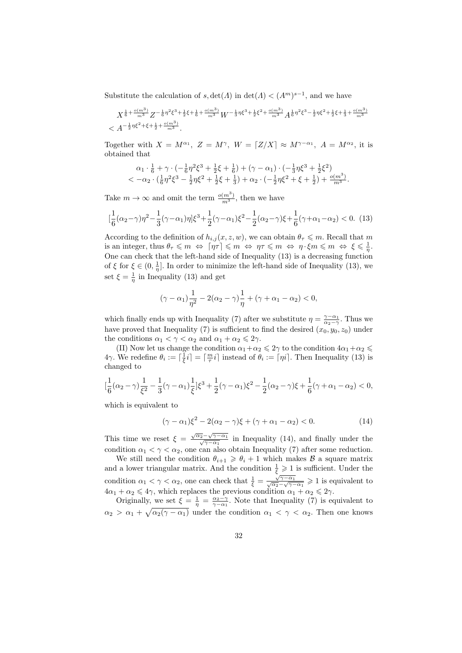Substitute the calculation of  $s, \det(A)$  in  $\det(A) < (A<sup>m</sup>)<sup>s-1</sup>$ , and we have

$$
X^{\frac{1}{6}+\frac{o(m^3)}{m^3}}Z^{-\frac{1}{6}\eta^2\xi^3+\frac{1}{2}\xi+\frac{1}{6}+\frac{o(m^3)}{m^3}}W^{-\frac{1}{3}\eta\xi^3+\frac{1}{2}\xi^2+\frac{o(m^3)}{m^3}}A^{\frac{1}{6}\eta^2\xi^3-\frac{1}{2}\eta\xi^2+\frac{1}{2}\xi+\frac{1}{3}+\frac{o(m^3)}{m^3}}
$$

Together with  $X = M^{\alpha_1}$ ,  $Z = M^{\gamma}$ ,  $W = [Z/X] \approx M^{\gamma - \alpha_1}$ ,  $A = M^{\alpha_2}$ , it is obtained that

$$
\alpha_1 \cdot \frac{1}{6} + \gamma \cdot \left(-\frac{1}{6}\eta^2 \xi^3 + \frac{1}{2}\xi + \frac{1}{6}\right) + (\gamma - \alpha_1) \cdot \left(-\frac{1}{3}\eta \xi^3 + \frac{1}{2}\xi^2\right) \n< -\alpha_2 \cdot \left(\frac{1}{6}\eta^2 \xi^3 - \frac{1}{2}\eta \xi^2 + \frac{1}{2}\xi + \frac{1}{3}\right) + \alpha_2 \cdot \left(-\frac{1}{2}\eta \xi^2 + \xi + \frac{1}{2}\right) + \frac{o(m^3)}{m^3}.
$$

Take  $m \to \infty$  and omit the term  $\frac{o(m^3)}{m^3}$ , then we have

$$
\left[\frac{1}{6}(\alpha_2-\gamma)\eta^2 - \frac{1}{3}(\gamma-\alpha_1)\eta\right]\xi^3 + \frac{1}{2}(\gamma-\alpha_1)\xi^2 - \frac{1}{2}(\alpha_2-\gamma)\xi + \frac{1}{6}(\gamma+\alpha_1-\alpha_2) < 0. \tag{13}
$$

According to the definition of  $h_{i,j}(x, z, w)$ , we can obtain  $\theta_{\tau} \leq m$ . Recall that m is an integer, thus  $\theta_{\tau} \leqslant m \iff \lceil \eta \tau \rceil \leqslant m \iff \eta \tau \leqslant m \iff \eta \cdot \xi m \leqslant m \iff \xi \leqslant \frac{1}{\eta}$ . One can check that the left-hand side of Inequality (13) is a decreasing function of  $\xi$  for  $\xi \in (0, \frac{1}{\eta}]$ . In order to minimize the left-hand side of Inequality (13), we set  $\xi = \frac{1}{\eta}$  in Inequality (13) and get

$$
(\gamma-\alpha_1)\frac{1}{\eta^2}-2(\alpha_2-\gamma)\frac{1}{\eta}+(\gamma+\alpha_1-\alpha_2)<0,
$$

which finally ends up with Inequality (7) after we substitute  $\eta = \frac{\gamma - \alpha_1}{\alpha_2 - \gamma}$ . Thus we have proved that Inequality (7) is sufficient to find the desired  $(x_0, y_0, z_0)$  under the conditions  $\alpha_1 < \gamma < \alpha_2$  and  $\alpha_1 + \alpha_2 \leq 2\gamma$ .

(II) Now let us change the condition  $\alpha_1+\alpha_2\leqslant 2\gamma$  to the condition  $4\alpha_1+\alpha_2\leqslant$ 4γ. We redefine  $\theta_i := \lceil \frac{1}{\xi}i \rceil = \lceil \frac{m}{\tau}i \rceil$  instead of  $\theta_i := \lceil \eta i \rceil$ . Then Inequality (13) is changed to

$$
[\frac{1}{6}(\alpha_2-\gamma)\frac{1}{\xi^2}-\frac{1}{3}(\gamma-\alpha_1)\frac{1}{\xi}]\xi^3+\frac{1}{2}(\gamma-\alpha_1)\xi^2-\frac{1}{2}(\alpha_2-\gamma)\xi+\frac{1}{6}(\gamma+\alpha_1-\alpha_2)<0,
$$

which is equivalent to

$$
(\gamma - \alpha_1)\xi^2 - 2(\alpha_2 - \gamma)\xi + (\gamma + \alpha_1 - \alpha_2) < 0. \tag{14}
$$

This time we reset  $\xi = \frac{\sqrt{\alpha_2} - \sqrt{\alpha_3}}{\sqrt{\alpha_2}}$  $\sqrt{2} - \sqrt{\gamma - \alpha_1}$  $\frac{\gamma-\gamma-\alpha_1}{\gamma-\alpha_1}$  in Inequality (14), and finally under the condition  $\alpha_1 < \gamma < \alpha_2$ , one can also obtain Inequality (7) after some reduction.

We still need the condition  $\theta_{i+1} \geq \theta_i + 1$  which makes  $\beta$  a square matrix and a lower triangular matrix. And the condition  $\frac{1}{\xi} \geq 1$  is sufficient. Under the condition  $\alpha_1 < \gamma < \alpha_2$ , one can check that  $\frac{1}{\xi} = \frac{\sqrt{2}}{\sqrt{\alpha_2}}$ .  $\frac{\sqrt{\gamma-\alpha_1}}{\sqrt{\alpha_1+\alpha_2}}$  $\frac{\sqrt{\gamma-\alpha_1}}{\alpha_2-\sqrt{\gamma-\alpha_1}} \geq 1$  is equivalent to  $4\alpha_1 + \alpha_2 \leq 4\gamma$ , which replaces the previous condition  $\alpha_1 + \alpha_2 \leq 2\gamma$ .

Originally, we set  $\xi = \frac{1}{\eta} = \frac{\alpha_2 - \gamma}{\gamma - \alpha_1}$ . Note that Inequality (7) is equivalent to  $\alpha_2 > \alpha_1 + \sqrt{\alpha_2(\gamma - \alpha_1)}$  under the condition  $\alpha_1 < \gamma < \alpha_2$ . Then one knows